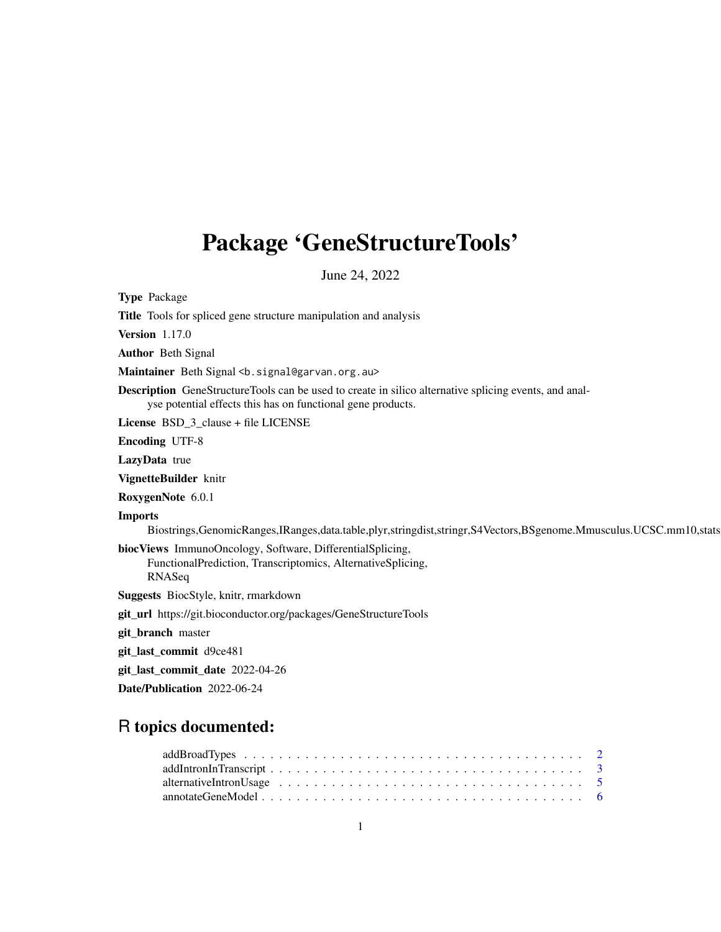# Package 'GeneStructureTools'

June 24, 2022

Type Package Title Tools for spliced gene structure manipulation and analysis Version 1.17.0 Author Beth Signal Maintainer Beth Signal <b. signal@garvan.org.au> Description GeneStructureTools can be used to create in silico alternative splicing events, and analyse potential effects this has on functional gene products. License BSD\_3\_clause + file LICENSE Encoding UTF-8 LazyData true VignetteBuilder knitr RoxygenNote 6.0.1 Imports Biostrings,GenomicRanges,IRanges,data.table,plyr,stringdist,stringr,S4Vectors,BSgenome.Mmusculus.UCSC.mm10,stats biocViews ImmunoOncology, Software, DifferentialSplicing, FunctionalPrediction, Transcriptomics, AlternativeSplicing, RNASeq Suggests BiocStyle, knitr, rmarkdown git\_url https://git.bioconductor.org/packages/GeneStructureTools git\_branch master git\_last\_commit d9ce481 git\_last\_commit\_date 2022-04-26 Date/Publication 2022-06-24

# R topics documented:

| $addIntroductionInTranscript \dots \dots \dots \dots \dots \dots \dots \dots \dots \dots \dots \dots \dots \dots \dots \dots \dots \dots$ |  |  |  |  |  |  |  |  |  |  |  |  |  |  |  |  |  |  |  |
|-------------------------------------------------------------------------------------------------------------------------------------------|--|--|--|--|--|--|--|--|--|--|--|--|--|--|--|--|--|--|--|
|                                                                                                                                           |  |  |  |  |  |  |  |  |  |  |  |  |  |  |  |  |  |  |  |
|                                                                                                                                           |  |  |  |  |  |  |  |  |  |  |  |  |  |  |  |  |  |  |  |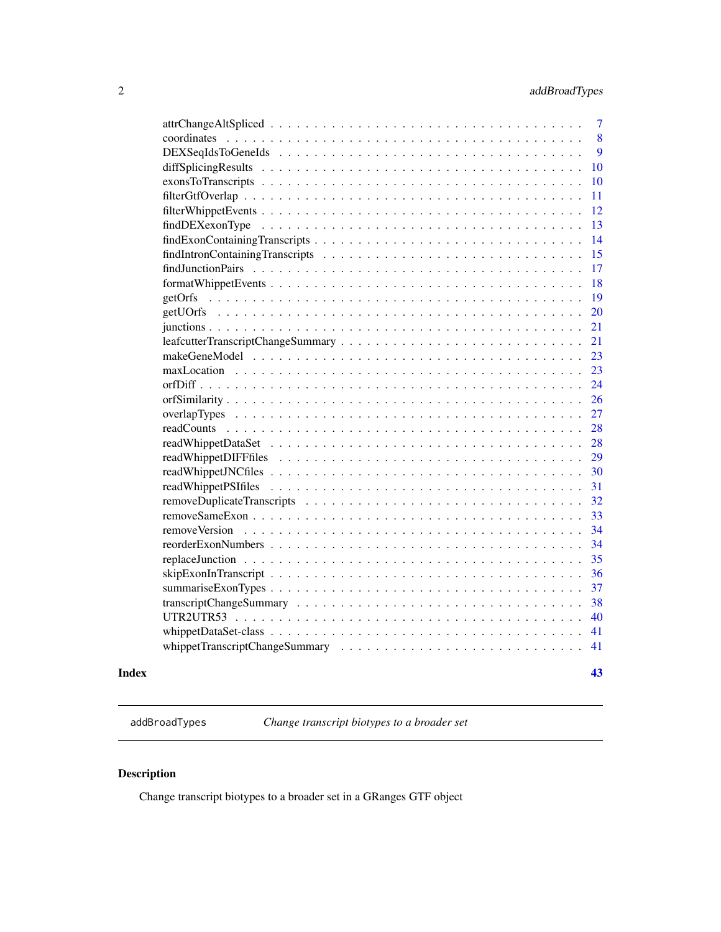<span id="page-1-0"></span>

| Index         | 43 |
|---------------|----|
|               | 41 |
|               | 41 |
|               | 40 |
|               | 38 |
|               | 37 |
|               | 36 |
|               | 35 |
|               | 34 |
| removeVersion | 34 |
|               | 33 |
|               | 32 |
|               | 31 |
|               | 30 |
|               | 29 |
|               | 28 |
|               | 28 |
|               | 27 |
|               | 26 |
|               | 24 |
|               | 23 |
|               | 23 |
|               | 21 |
|               | 21 |
|               | 20 |
|               | 19 |
|               | 18 |
|               | 17 |
|               | 15 |
|               | 14 |
|               | 13 |
|               | 12 |
|               | 11 |
|               | 10 |
|               | 10 |
|               | 9  |
|               | 8  |
|               | 7  |
|               |    |

<span id="page-1-1"></span>addBroadTypes *Change transcript biotypes to a broader set*

# Description

Change transcript biotypes to a broader set in a GRanges GTF object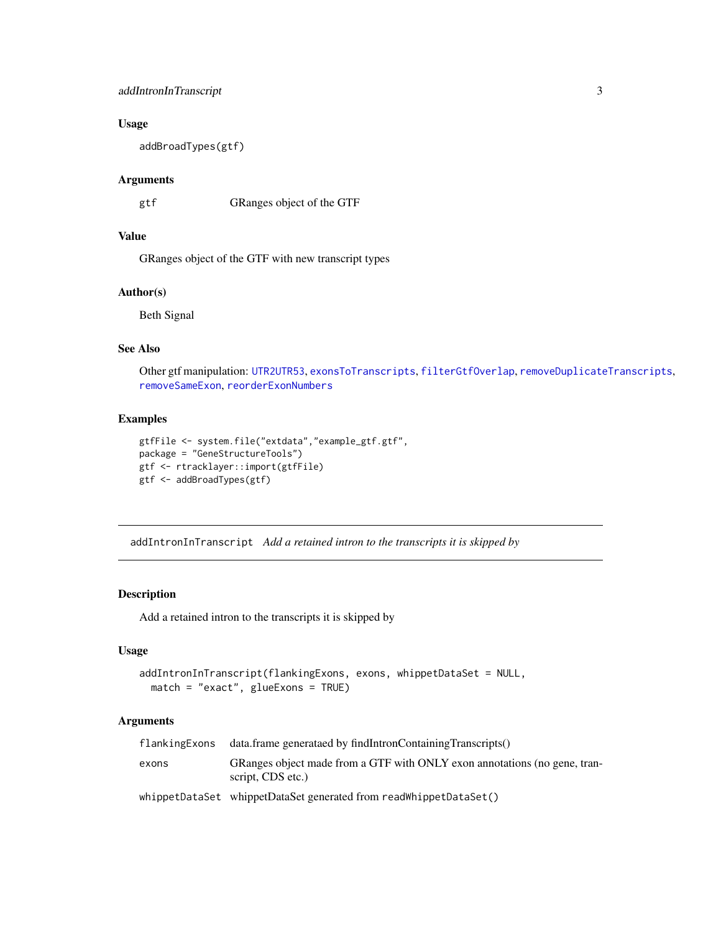# <span id="page-2-0"></span>addIntronInTranscript 3

# Usage

addBroadTypes(gtf)

#### Arguments

gtf GRanges object of the GTF

# Value

GRanges object of the GTF with new transcript types

# Author(s)

Beth Signal

# See Also

Other gtf manipulation: [UTR2UTR53](#page-39-1), [exonsToTranscripts](#page-9-1), [filterGtfOverlap](#page-10-1), [removeDuplicateTranscripts](#page-31-1), [removeSameExon](#page-32-1), [reorderExonNumbers](#page-33-1)

#### Examples

```
gtfFile <- system.file("extdata","example_gtf.gtf",
package = "GeneStructureTools")
gtf <- rtracklayer::import(gtfFile)
gtf <- addBroadTypes(gtf)
```
<span id="page-2-1"></span>addIntronInTranscript *Add a retained intron to the transcripts it is skipped by*

# Description

Add a retained intron to the transcripts it is skipped by

# Usage

```
addIntronInTranscript(flankingExons, exons, whippetDataSet = NULL,
 match = "exact", glueExons = TRUE)
```
# Arguments

| flankingExons | data.frame generataed by findIntronContainingTranscripts()                                     |
|---------------|------------------------------------------------------------------------------------------------|
| exons         | GRanges object made from a GTF with ONLY exon annotations (no gene, tran-<br>script, CDS etc.) |
|               | whippetDataSet whippetDataSet generated from readWhippetDataSet()                              |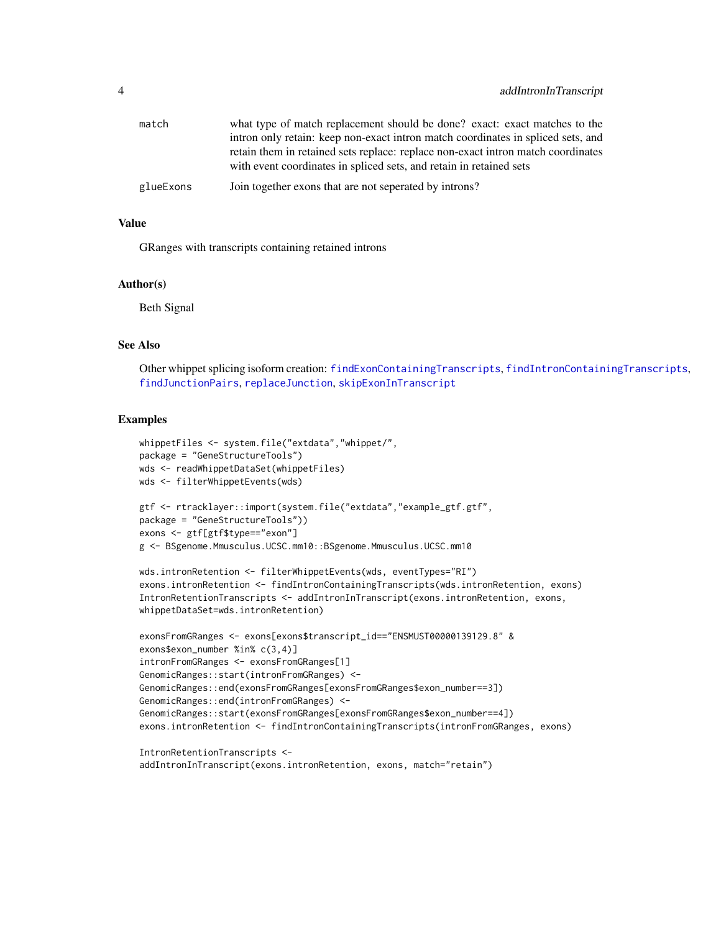<span id="page-3-0"></span>

| match     | what type of match replacement should be done? exact: exact matches to the       |
|-----------|----------------------------------------------------------------------------------|
|           | intron only retain: keep non-exact intron match coordinates in spliced sets, and |
|           | retain them in retained sets replace: replace non-exact intron match coordinates |
|           | with event coordinates in spliced sets, and retain in retained sets              |
| glueExons | Join together exons that are not seperated by introns?                           |

#### Value

GRanges with transcripts containing retained introns

# Author(s)

Beth Signal

#### See Also

Other whippet splicing isoform creation: [findExonContainingTranscripts](#page-13-1), [findIntronContainingTranscripts](#page-14-1), [findJunctionPairs](#page-16-1), [replaceJunction](#page-34-1), [skipExonInTranscript](#page-35-1)

# Examples

```
whippetFiles <- system.file("extdata","whippet/",
package = "GeneStructureTools")
wds <- readWhippetDataSet(whippetFiles)
wds <- filterWhippetEvents(wds)
gtf <- rtracklayer::import(system.file("extdata","example_gtf.gtf",
package = "GeneStructureTools"))
exons <- gtf[gtf$type=="exon"]
g <- BSgenome.Mmusculus.UCSC.mm10::BSgenome.Mmusculus.UCSC.mm10
wds.intronRetention <- filterWhippetEvents(wds, eventTypes="RI")
exons.intronRetention <- findIntronContainingTranscripts(wds.intronRetention, exons)
IntronRetentionTranscripts <- addIntronInTranscript(exons.intronRetention, exons,
whippetDataSet=wds.intronRetention)
exonsFromGRanges <- exons[exons$transcript_id=="ENSMUST00000139129.8" &
exons$exon_number %in% c(3,4)]
intronFromGRanges <- exonsFromGRanges[1]
GenomicRanges::start(intronFromGRanges) <-
GenomicRanges::end(exonsFromGRanges[exonsFromGRanges$exon_number==3])
GenomicRanges::end(intronFromGRanges) <-
GenomicRanges::start(exonsFromGRanges[exonsFromGRanges$exon_number==4])
```

```
IntronRetentionTranscripts <-
```
exons.intronRetention <- findIntronContainingTranscripts(intronFromGRanges, exons)

```
addIntronInTranscript(exons.intronRetention, exons, match="retain")
```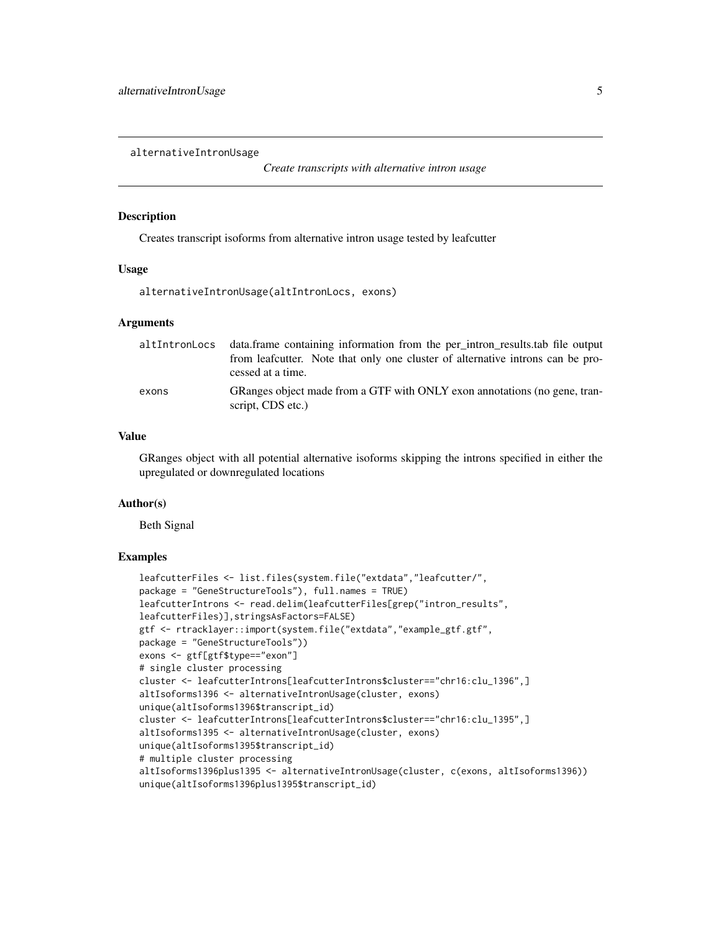<span id="page-4-0"></span>alternativeIntronUsage

*Create transcripts with alternative intron usage*

#### Description

Creates transcript isoforms from alternative intron usage tested by leafcutter

#### Usage

alternativeIntronUsage(altIntronLocs, exons)

#### Arguments

| altIntronLocs | data.frame containing information from the per_intron_results.tab file output<br>from leafcutter. Note that only one cluster of alternative introns can be pro-<br>cessed at a time. |
|---------------|--------------------------------------------------------------------------------------------------------------------------------------------------------------------------------------|
| exons         | GRanges object made from a GTF with ONLY exon annotations (no gene, tran-<br>script, CDS etc.)                                                                                       |

# Value

GRanges object with all potential alternative isoforms skipping the introns specified in either the upregulated or downregulated locations

# Author(s)

Beth Signal

```
leafcutterFiles <- list.files(system.file("extdata","leafcutter/",
package = "GeneStructureTools"), full.names = TRUE)
leafcutterIntrons <- read.delim(leafcutterFiles[grep("intron_results",
leafcutterFiles)],stringsAsFactors=FALSE)
gtf <- rtracklayer::import(system.file("extdata","example_gtf.gtf",
package = "GeneStructureTools"))
exons <- gtf[gtf$type=="exon"]
# single cluster processing
cluster <- leafcutterIntrons[leafcutterIntrons$cluster=="chr16:clu_1396",]
altIsoforms1396 <- alternativeIntronUsage(cluster, exons)
unique(altIsoforms1396$transcript_id)
cluster <- leafcutterIntrons[leafcutterIntrons$cluster=="chr16:clu_1395",]
altIsoforms1395 <- alternativeIntronUsage(cluster, exons)
unique(altIsoforms1395$transcript_id)
# multiple cluster processing
altIsoforms1396plus1395 <- alternativeIntronUsage(cluster, c(exons, altIsoforms1396))
unique(altIsoforms1396plus1395$transcript_id)
```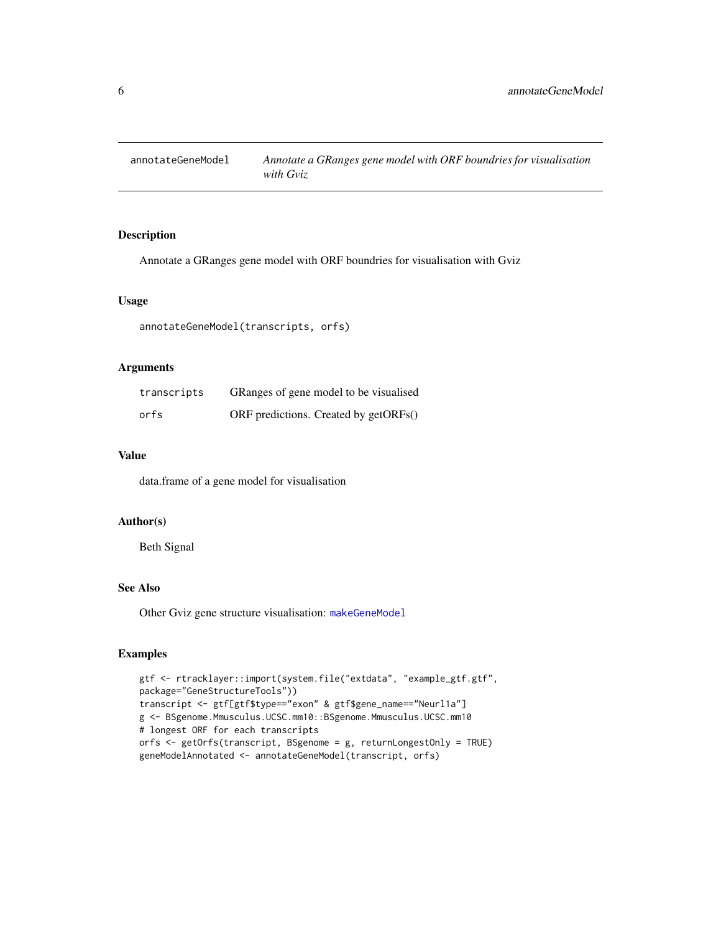<span id="page-5-1"></span><span id="page-5-0"></span>

# Description

Annotate a GRanges gene model with ORF boundries for visualisation with Gviz

#### Usage

```
annotateGeneModel(transcripts, orfs)
```
#### Arguments

| transcripts | GRanges of gene model to be visualised |
|-------------|----------------------------------------|
| orfs        | ORF predictions. Created by getORFs()  |

# Value

data.frame of a gene model for visualisation

#### Author(s)

Beth Signal

#### See Also

Other Gviz gene structure visualisation: [makeGeneModel](#page-22-1)

```
gtf <- rtracklayer::import(system.file("extdata", "example_gtf.gtf",
package="GeneStructureTools"))
transcript <- gtf[gtf$type=="exon" & gtf$gene_name=="Neurl1a"]
g <- BSgenome.Mmusculus.UCSC.mm10::BSgenome.Mmusculus.UCSC.mm10
# longest ORF for each transcripts
orfs <- getOrfs(transcript, BSgenome = g, returnLongestOnly = TRUE)
geneModelAnnotated <- annotateGeneModel(transcript, orfs)
```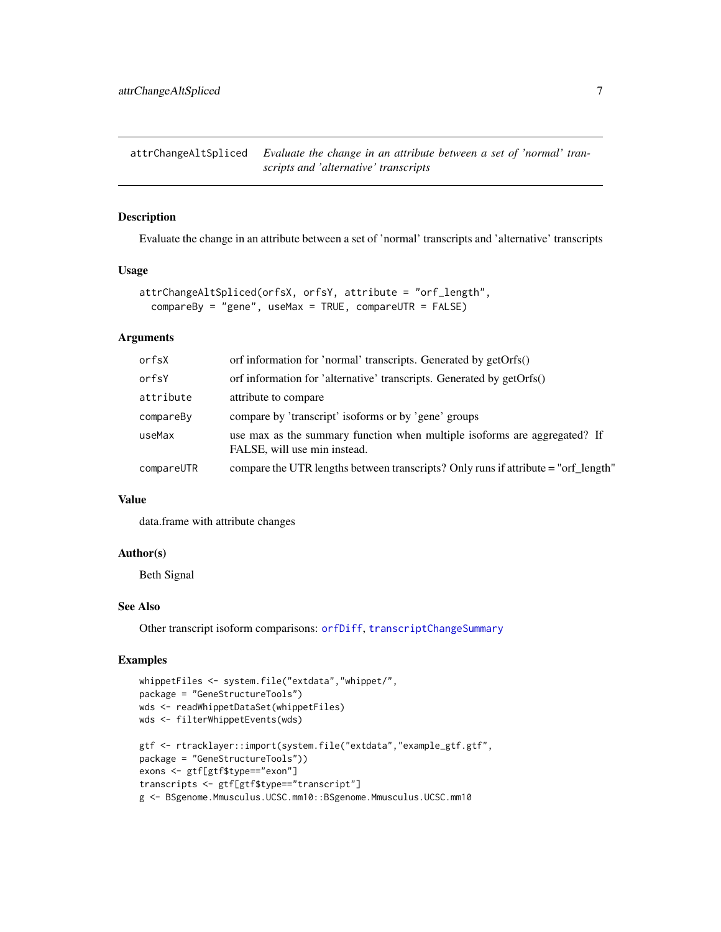<span id="page-6-1"></span><span id="page-6-0"></span>attrChangeAltSpliced *Evaluate the change in an attribute between a set of 'normal' transcripts and 'alternative' transcripts*

#### Description

Evaluate the change in an attribute between a set of 'normal' transcripts and 'alternative' transcripts

# Usage

```
attrChangeAltSpliced(orfsX, orfsY, attribute = "orf_length",
 compareBy = "gene", useMax = TRUE, compareUTR = FALSE)
```
# Arguments

| orfsX      | orf information for 'normal' transcripts. Generated by getOrfs()                                          |
|------------|-----------------------------------------------------------------------------------------------------------|
| orfsY      | orf information for 'alternative' transcripts. Generated by getOrfs()                                     |
| attribute  | attribute to compare                                                                                      |
| compareBy  | compare by 'transcript' isoforms or by 'gene' groups                                                      |
| useMax     | use max as the summary function when multiple isoforms are aggregated? If<br>FALSE, will use min instead. |
| compareUTR | compare the UTR lengths between transcripts? Only runs if attribute = "orf_length"                        |

#### Value

data.frame with attribute changes

#### Author(s)

Beth Signal

#### See Also

Other transcript isoform comparisons: [orfDiff](#page-23-1), [transcriptChangeSummary](#page-37-1)

```
whippetFiles <- system.file("extdata","whippet/",
package = "GeneStructureTools")
wds <- readWhippetDataSet(whippetFiles)
wds <- filterWhippetEvents(wds)
gtf <- rtracklayer::import(system.file("extdata","example_gtf.gtf",
package = "GeneStructureTools"))
exons <- gtf[gtf$type=="exon"]
transcripts <- gtf[gtf$type=="transcript"]
g <- BSgenome.Mmusculus.UCSC.mm10::BSgenome.Mmusculus.UCSC.mm10
```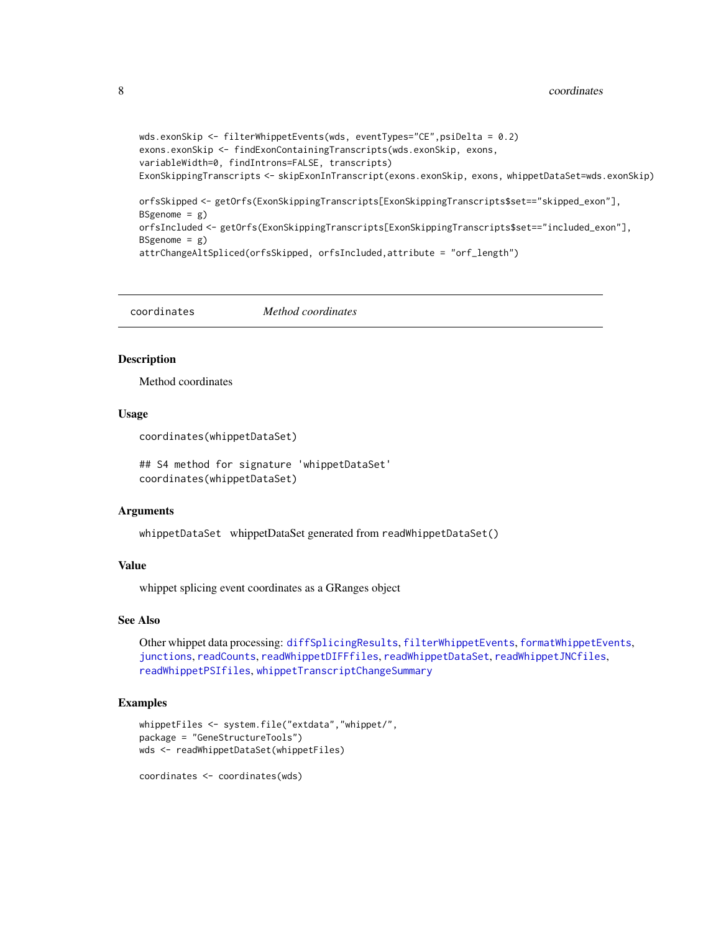```
wds.exonSkip <- filterWhippetEvents(wds, eventTypes="CE",psiDelta = 0.2)
exons.exonSkip <- findExonContainingTranscripts(wds.exonSkip, exons,
variableWidth=0, findIntrons=FALSE, transcripts)
ExonSkippingTranscripts <- skipExonInTranscript(exons.exonSkip, exons, whippetDataSet=wds.exonSkip)
orfsSkipped <- getOrfs(ExonSkippingTranscripts[ExonSkippingTranscripts$set=="skipped_exon"],
BSgenome = g)
orfsIncluded <- getOrfs(ExonSkippingTranscripts[ExonSkippingTranscripts$set=="included_exon"],
BSgenome = g)
attrChangeAltSpliced(orfsSkipped, orfsIncluded,attribute = "orf_length")
```
<span id="page-7-1"></span>coordinates *Method coordinates*

#### **Description**

Method coordinates

#### Usage

```
coordinates(whippetDataSet)
```
## S4 method for signature 'whippetDataSet' coordinates(whippetDataSet)

#### Arguments

whippetDataSet whippetDataSet generated from readWhippetDataSet()

#### Value

whippet splicing event coordinates as a GRanges object

# See Also

Other whippet data processing: [diffSplicingResults](#page-9-2), [filterWhippetEvents](#page-11-1), [formatWhippetEvents](#page-17-1), [junctions](#page-20-1), [readCounts](#page-27-1), [readWhippetDIFFfiles](#page-28-1), [readWhippetDataSet](#page-27-2), [readWhippetJNCfiles](#page-29-1), [readWhippetPSIfiles](#page-30-1), [whippetTranscriptChangeSummary](#page-40-1)

# Examples

```
whippetFiles <- system.file("extdata","whippet/",
package = "GeneStructureTools")
wds <- readWhippetDataSet(whippetFiles)
```
coordinates <- coordinates(wds)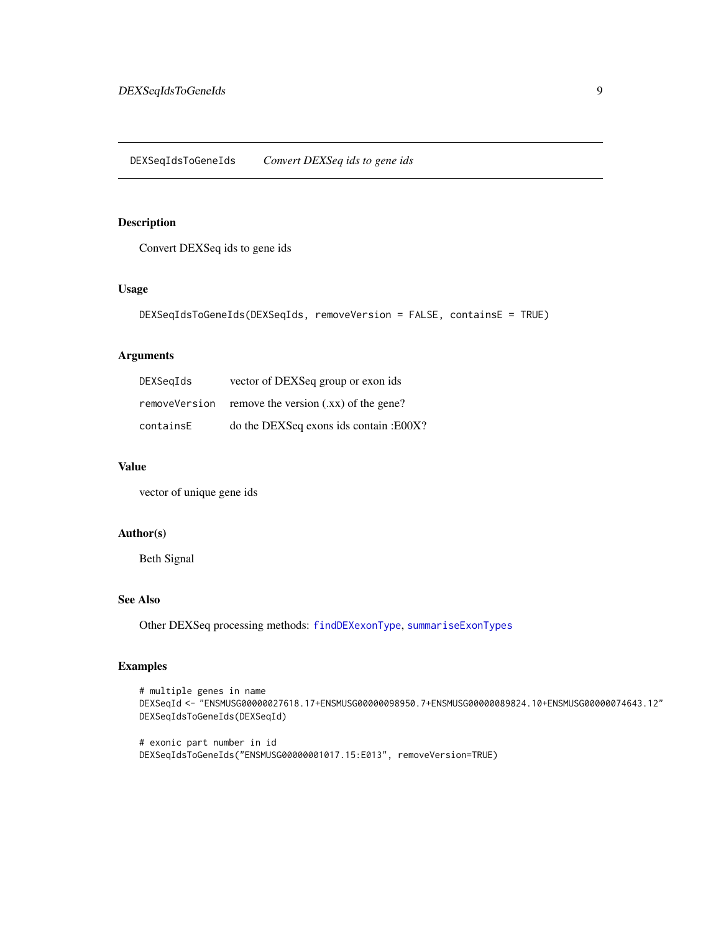# <span id="page-8-1"></span><span id="page-8-0"></span>Description

Convert DEXSeq ids to gene ids

#### Usage

```
DEXSeqIdsToGeneIds(DEXSeqIds, removeVersion = FALSE, containsE = TRUE)
```
# Arguments

| DEXSegIds     | vector of DEXSeq group or exon ids     |
|---------------|----------------------------------------|
| removeVersion | remove the version $(xx)$ of the gene? |
| containsE     | do the DEXSeq exons ids contain: E00X? |

#### Value

vector of unique gene ids

# Author(s)

Beth Signal

#### See Also

Other DEXSeq processing methods: [findDEXexonType](#page-12-1), [summariseExonTypes](#page-36-1)

```
# multiple genes in name
DEXSeqId <- "ENSMUSG00000027618.17+ENSMUSG00000098950.7+ENSMUSG00000089824.10+ENSMUSG00000074643.12"
DEXSeqIdsToGeneIds(DEXSeqId)
```

```
# exonic part number in id
DEXSeqIdsToGeneIds("ENSMUSG00000001017.15:E013", removeVersion=TRUE)
```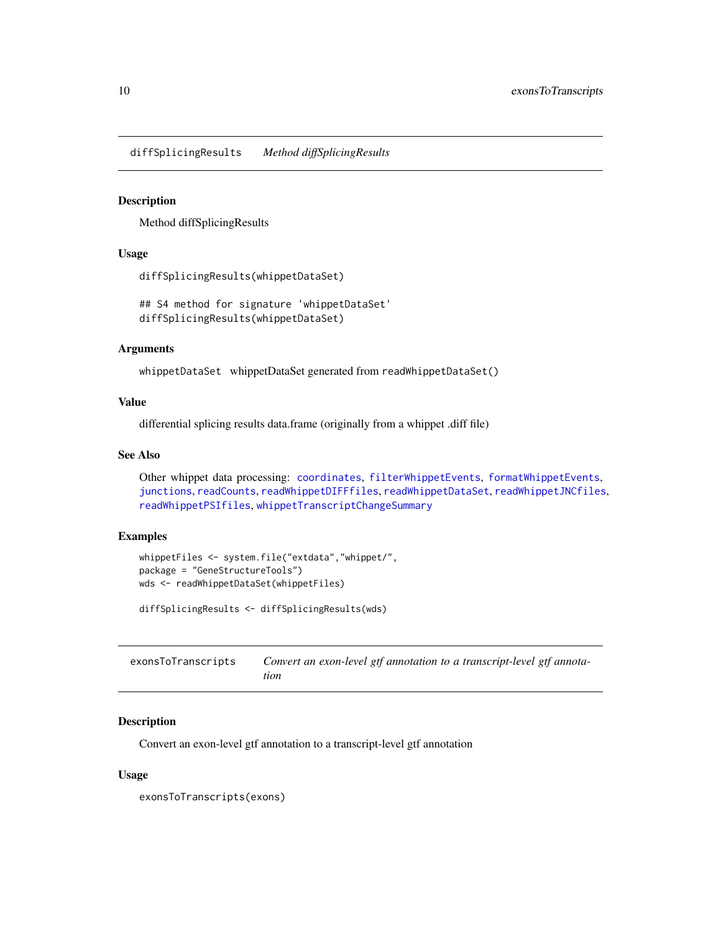<span id="page-9-2"></span><span id="page-9-0"></span>diffSplicingResults *Method diffSplicingResults*

#### Description

Method diffSplicingResults

#### Usage

```
diffSplicingResults(whippetDataSet)
```
## S4 method for signature 'whippetDataSet' diffSplicingResults(whippetDataSet)

#### Arguments

whippetDataSet whippetDataSet generated from readWhippetDataSet()

# Value

differential splicing results data.frame (originally from a whippet .diff file)

# See Also

```
Other whippet data processing: coordinates, filterWhippetEvents, formatWhippetEvents,
junctions, readCounts, readWhippetDIFFfiles, readWhippetDataSet, readWhippetJNCfiles,
readWhippetPSIfiles, whippetTranscriptChangeSummary
```
# Examples

```
whippetFiles <- system.file("extdata","whippet/",
package = "GeneStructureTools")
wds <- readWhippetDataSet(whippetFiles)
```

```
diffSplicingResults <- diffSplicingResults(wds)
```
<span id="page-9-1"></span>

| exonsToTranscripts | Convert an exon-level gtf annotation to a transcript-level gtf annota- |
|--------------------|------------------------------------------------------------------------|
|                    | tion                                                                   |

# Description

Convert an exon-level gtf annotation to a transcript-level gtf annotation

#### Usage

exonsToTranscripts(exons)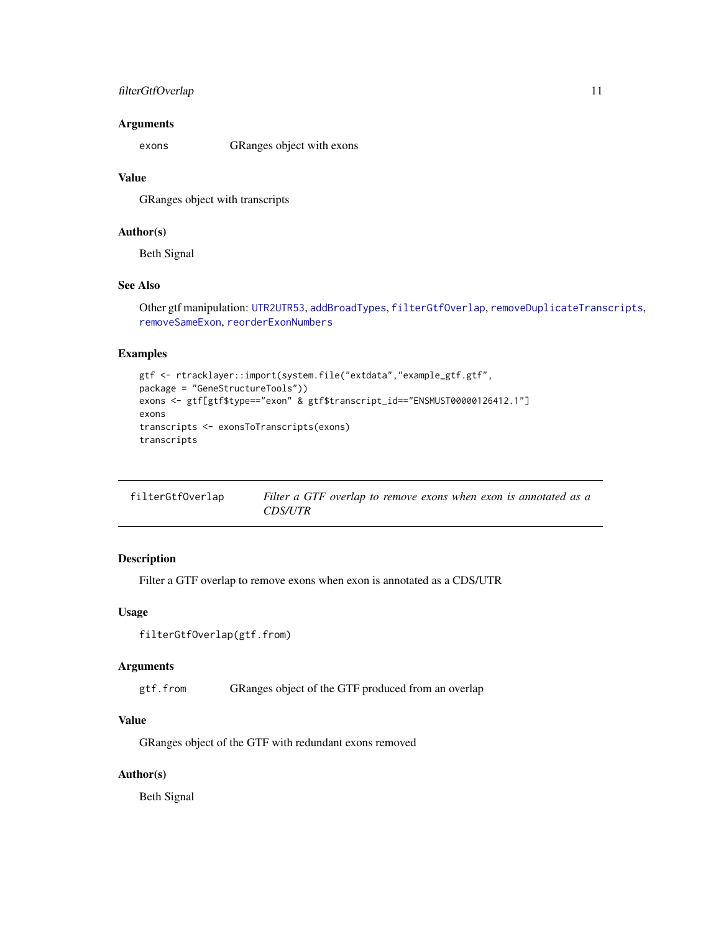# <span id="page-10-0"></span>filterGtfOverlap 11

#### Arguments

exons GRanges object with exons

# Value

GRanges object with transcripts

# Author(s)

Beth Signal

# See Also

Other gtf manipulation: [UTR2UTR53](#page-39-1), [addBroadTypes](#page-1-1), [filterGtfOverlap](#page-10-1), [removeDuplicateTranscripts](#page-31-1), [removeSameExon](#page-32-1), [reorderExonNumbers](#page-33-1)

# Examples

```
gtf <- rtracklayer::import(system.file("extdata","example_gtf.gtf",
package = "GeneStructureTools"))
exons <- gtf[gtf$type=="exon" & gtf$transcript_id=="ENSMUST00000126412.1"]
exons
transcripts <- exonsToTranscripts(exons)
transcripts
```
<span id="page-10-1"></span>

| filterGtfOverlap | Filter a GTF overlap to remove exons when exon is annotated as a |
|------------------|------------------------------------------------------------------|
|                  | <b>CDS/UTR</b>                                                   |

# Description

Filter a GTF overlap to remove exons when exon is annotated as a CDS/UTR

#### Usage

```
filterGtfOverlap(gtf.from)
```
# Arguments

gtf.from GRanges object of the GTF produced from an overlap

# Value

GRanges object of the GTF with redundant exons removed

# Author(s)

Beth Signal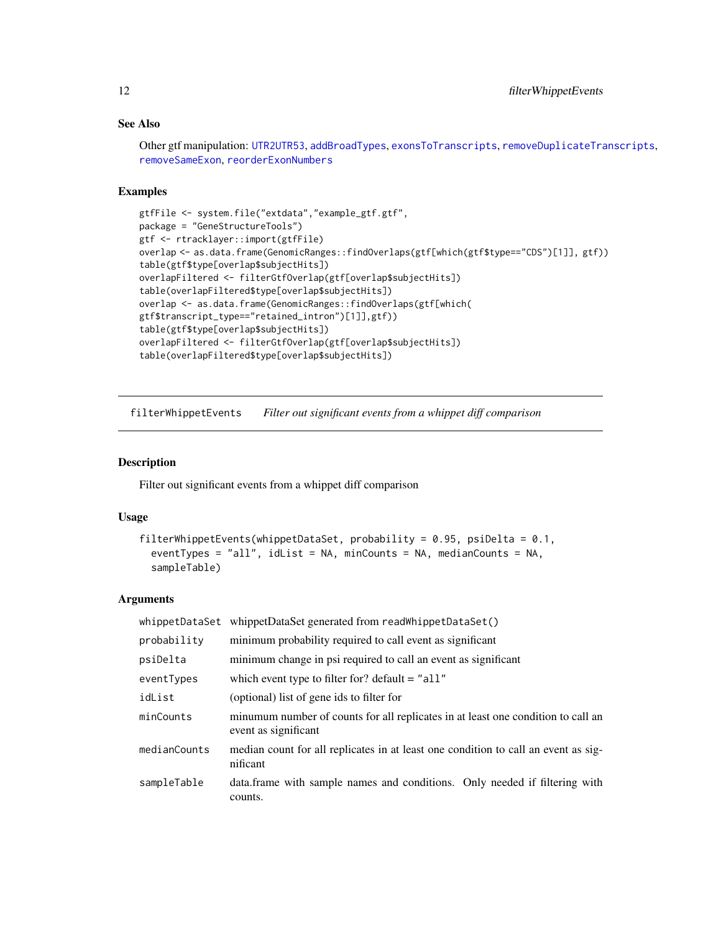# See Also

Other gtf manipulation: [UTR2UTR53](#page-39-1), [addBroadTypes](#page-1-1), [exonsToTranscripts](#page-9-1), [removeDuplicateTranscripts](#page-31-1), [removeSameExon](#page-32-1), [reorderExonNumbers](#page-33-1)

# Examples

```
gtfFile <- system.file("extdata","example_gtf.gtf",
package = "GeneStructureTools")
gtf <- rtracklayer::import(gtfFile)
overlap <- as.data.frame(GenomicRanges::findOverlaps(gtf[which(gtf$type=="CDS")[1]], gtf))
table(gtf$type[overlap$subjectHits])
overlapFiltered <- filterGtfOverlap(gtf[overlap$subjectHits])
table(overlapFiltered$type[overlap$subjectHits])
overlap <- as.data.frame(GenomicRanges::findOverlaps(gtf[which(
gtf$transcript_type=="retained_intron")[1]],gtf))
table(gtf$type[overlap$subjectHits])
overlapFiltered <- filterGtfOverlap(gtf[overlap$subjectHits])
table(overlapFiltered$type[overlap$subjectHits])
```
<span id="page-11-1"></span>filterWhippetEvents *Filter out significant events from a whippet diff comparison*

#### Description

Filter out significant events from a whippet diff comparison

#### Usage

```
filterWhippetEvents(whippetDataSet, probability = 0.95, psiDelta = 0.1,
  eventTypes = "all", idList = NA, minCounts = NA, medianCounts = NA,
  sampleTable)
```
### Arguments

| whippetDataSet | whippetDataSet generated from readWhippetDataSet()                                                       |
|----------------|----------------------------------------------------------------------------------------------------------|
| probability    | minimum probability required to call event as significant                                                |
| psiDelta       | minimum change in psi required to call an event as significant                                           |
| eventTypes     | which event type to filter for? default $=$ "all"                                                        |
| idList         | (optional) list of gene ids to filter for                                                                |
| minCounts      | minumum number of counts for all replicates in at least one condition to call an<br>event as significant |
| medianCounts   | median count for all replicates in at least one condition to call an event as sig-<br>nificant           |
| sampleTable    | data. frame with sample names and conditions. Only needed if filtering with<br>counts.                   |

<span id="page-11-0"></span>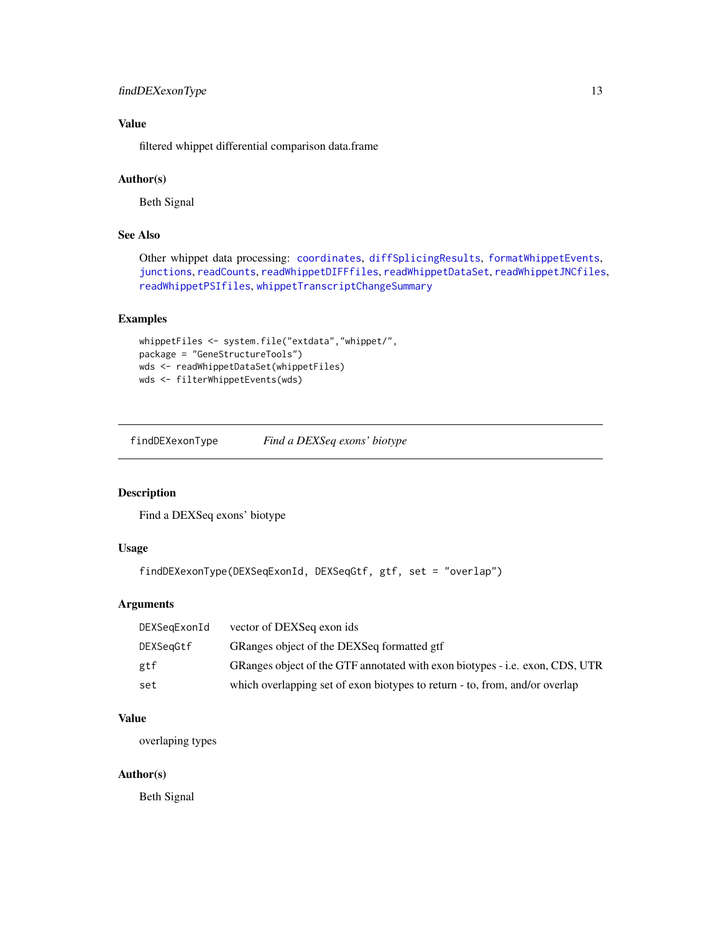# <span id="page-12-0"></span>findDEXexonType 13

# Value

filtered whippet differential comparison data.frame

#### Author(s)

Beth Signal

# See Also

Other whippet data processing: [coordinates](#page-7-1), [diffSplicingResults](#page-9-2), [formatWhippetEvents](#page-17-1), [junctions](#page-20-1), [readCounts](#page-27-1), [readWhippetDIFFfiles](#page-28-1), [readWhippetDataSet](#page-27-2), [readWhippetJNCfiles](#page-29-1), [readWhippetPSIfiles](#page-30-1), [whippetTranscriptChangeSummary](#page-40-1)

# Examples

```
whippetFiles <- system.file("extdata","whippet/",
package = "GeneStructureTools")
wds <- readWhippetDataSet(whippetFiles)
wds <- filterWhippetEvents(wds)
```
<span id="page-12-1"></span>findDEXexonType *Find a DEXSeq exons' biotype*

# Description

Find a DEXSeq exons' biotype

# Usage

```
findDEXexonType(DEXSeqExonId, DEXSeqGtf, gtf, set = "overlap")
```
# Arguments

| DEXSegExonId | vector of DEXSeq exon ids                                                    |
|--------------|------------------------------------------------------------------------------|
| DEXSegGtf    | GRanges object of the DEXSeq formatted gtf                                   |
| gtf          | GRanges object of the GTF annotated with exon biotypes - i.e. exon, CDS, UTR |
| set          | which overlapping set of exon biotypes to return - to, from, and/or overlap  |

# Value

overlaping types

#### Author(s)

Beth Signal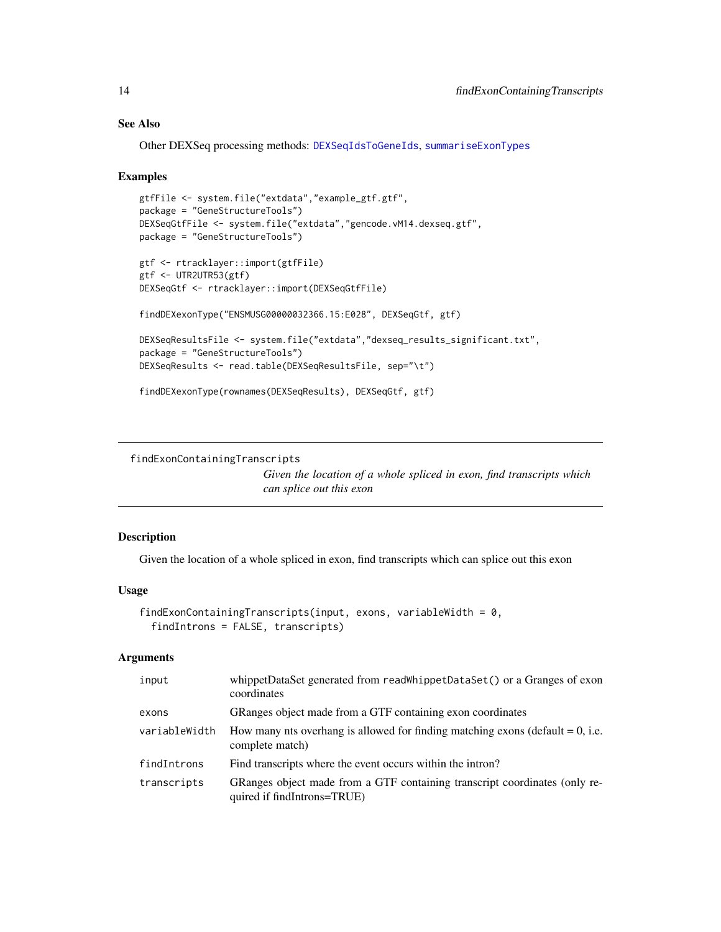# See Also

Other DEXSeq processing methods: [DEXSeqIdsToGeneIds](#page-8-1), [summariseExonTypes](#page-36-1)

#### Examples

```
gtfFile <- system.file("extdata","example_gtf.gtf",
package = "GeneStructureTools")
DEXSeqGtfFile <- system.file("extdata","gencode.vM14.dexseq.gtf",
package = "GeneStructureTools")
gtf <- rtracklayer::import(gtfFile)
gtf <- UTR2UTR53(gtf)
DEXSeqGtf <- rtracklayer::import(DEXSeqGtfFile)
findDEXexonType("ENSMUSG00000032366.15:E028", DEXSeqGtf, gtf)
DEXSeqResultsFile <- system.file("extdata","dexseq_results_significant.txt",
package = "GeneStructureTools")
DEXSeqResults <- read.table(DEXSeqResultsFile, sep="\t")
findDEXexonType(rownames(DEXSeqResults), DEXSeqGtf, gtf)
```
<span id="page-13-1"></span>findExonContainingTranscripts

*Given the location of a whole spliced in exon, find transcripts which can splice out this exon*

# Description

Given the location of a whole spliced in exon, find transcripts which can splice out this exon

#### Usage

```
findExonContainingTranscripts(input, exons, variableWidth = 0,
  findIntrons = FALSE, transcripts)
```
# Arguments

| input         | whippetDataSet generated from readWhippetDataSet() or a Granges of exon<br>coordinates                    |
|---------------|-----------------------------------------------------------------------------------------------------------|
| exons         | GRanges object made from a GTF containing exon coordinates                                                |
| variableWidth | How many nts overhang is allowed for finding matching exons (default $= 0$ , i.e.<br>complete match)      |
| findIntrons   | Find transcripts where the event occurs within the intron?                                                |
| transcripts   | GRanges object made from a GTF containing transcript coordinates (only re-<br>quired if findIntrons=TRUE) |

<span id="page-13-0"></span>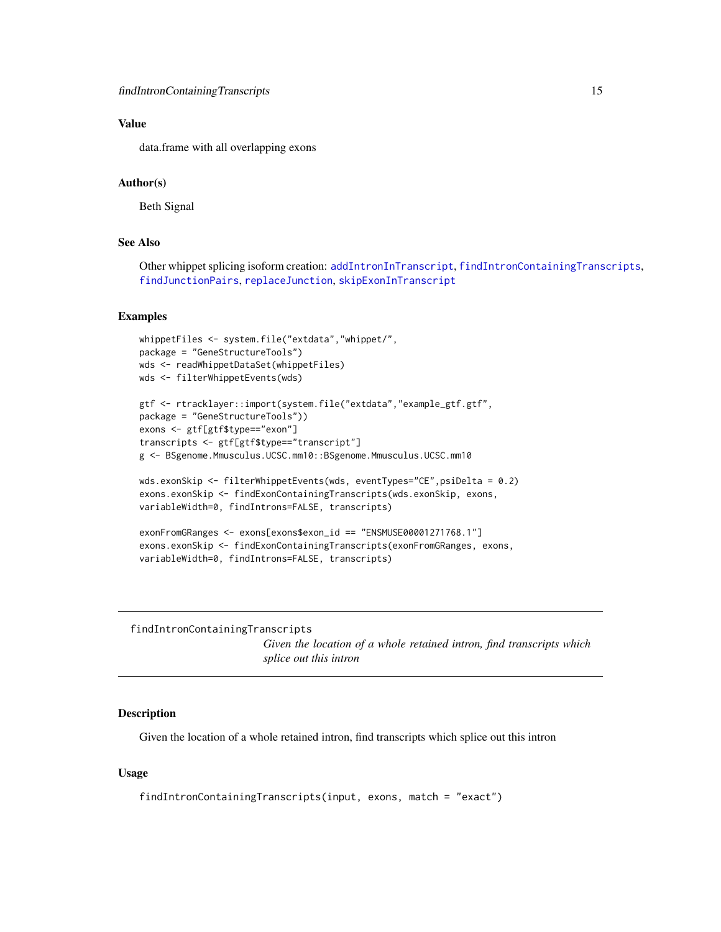# <span id="page-14-0"></span>Value

data.frame with all overlapping exons

#### Author(s)

Beth Signal

#### See Also

Other whippet splicing isoform creation: [addIntronInTranscript](#page-2-1), [findIntronContainingTranscripts](#page-14-1), [findJunctionPairs](#page-16-1), [replaceJunction](#page-34-1), [skipExonInTranscript](#page-35-1)

#### Examples

```
whippetFiles <- system.file("extdata","whippet/",
package = "GeneStructureTools")
wds <- readWhippetDataSet(whippetFiles)
wds <- filterWhippetEvents(wds)
```

```
gtf <- rtracklayer::import(system.file("extdata","example_gtf.gtf",
package = "GeneStructureTools"))
exons <- gtf[gtf$type=="exon"]
transcripts <- gtf[gtf$type=="transcript"]
g <- BSgenome.Mmusculus.UCSC.mm10::BSgenome.Mmusculus.UCSC.mm10
```

```
wds.exonSkip <- filterWhippetEvents(wds, eventTypes="CE",psiDelta = 0.2)
exons.exonSkip <- findExonContainingTranscripts(wds.exonSkip, exons,
variableWidth=0, findIntrons=FALSE, transcripts)
```

```
exonFromGRanges <- exons[exons$exon_id == "ENSMUSE00001271768.1"]
exons.exonSkip <- findExonContainingTranscripts(exonFromGRanges, exons,
variableWidth=0, findIntrons=FALSE, transcripts)
```
<span id="page-14-1"></span>findIntronContainingTranscripts

*Given the location of a whole retained intron, find transcripts which splice out this intron*

#### **Description**

Given the location of a whole retained intron, find transcripts which splice out this intron

#### Usage

```
findIntronContainingTranscripts(input, exons, match = "exact")
```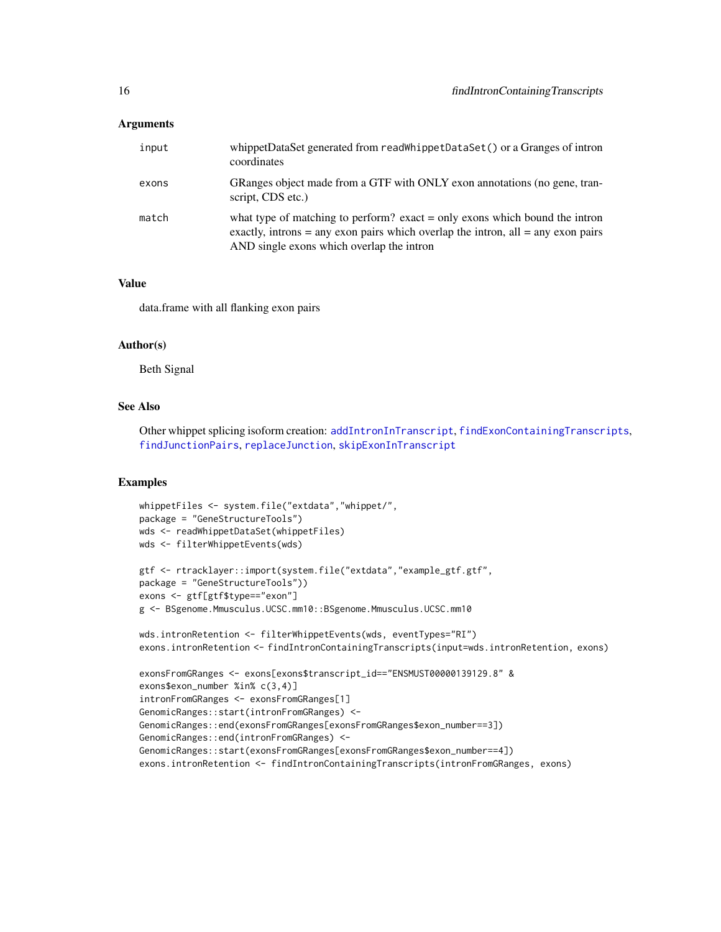# <span id="page-15-0"></span>Arguments

| input | whippetDataSet generated from readWhippetDataSet() or a Granges of intron<br>coordinates                                                                                                                           |
|-------|--------------------------------------------------------------------------------------------------------------------------------------------------------------------------------------------------------------------|
| exons | GRanges object made from a GTF with ONLY exon annotations (no gene, tran-<br>script, CDS etc.)                                                                                                                     |
| match | what type of matching to perform? exact $=$ only exons which bound the intron<br>exactly, introns $=$ any exon pairs which overlap the intron, all $=$ any exon pairs<br>AND single exons which overlap the intron |

# Value

data.frame with all flanking exon pairs

#### Author(s)

Beth Signal

# See Also

Other whippet splicing isoform creation: [addIntronInTranscript](#page-2-1), [findExonContainingTranscripts](#page-13-1), [findJunctionPairs](#page-16-1), [replaceJunction](#page-34-1), [skipExonInTranscript](#page-35-1)

```
whippetFiles <- system.file("extdata","whippet/",
package = "GeneStructureTools")
wds <- readWhippetDataSet(whippetFiles)
wds <- filterWhippetEvents(wds)
gtf <- rtracklayer::import(system.file("extdata","example_gtf.gtf",
package = "GeneStructureTools"))
exons <- gtf[gtf$type=="exon"]
g <- BSgenome.Mmusculus.UCSC.mm10::BSgenome.Mmusculus.UCSC.mm10
wds.intronRetention <- filterWhippetEvents(wds, eventTypes="RI")
exons.intronRetention <- findIntronContainingTranscripts(input=wds.intronRetention, exons)
exonsFromGRanges <- exons[exons$transcript_id=="ENSMUST00000139129.8" &
exons$exon_number %in% c(3,4)]
intronFromGRanges <- exonsFromGRanges[1]
GenomicRanges::start(intronFromGRanges) <-
GenomicRanges::end(exonsFromGRanges[exonsFromGRanges$exon_number==3])
GenomicRanges::end(intronFromGRanges) <-
GenomicRanges::start(exonsFromGRanges[exonsFromGRanges$exon_number==4])
exons.intronRetention <- findIntronContainingTranscripts(intronFromGRanges, exons)
```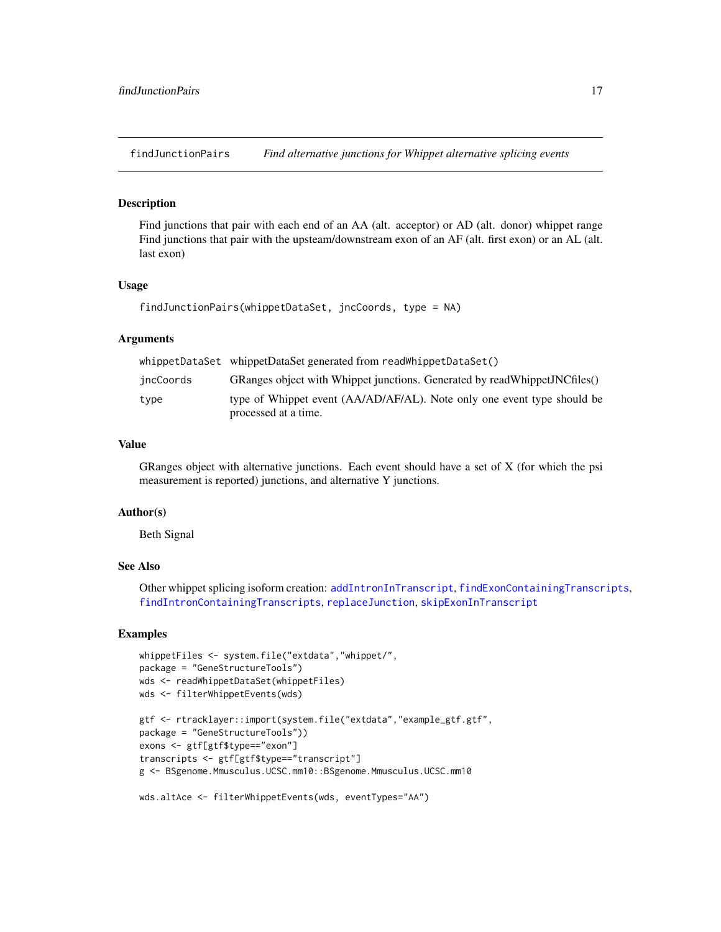<span id="page-16-1"></span><span id="page-16-0"></span>findJunctionPairs *Find alternative junctions for Whippet alternative splicing events*

#### Description

Find junctions that pair with each end of an AA (alt. acceptor) or AD (alt. donor) whippet range Find junctions that pair with the upsteam/downstream exon of an AF (alt. first exon) or an AL (alt. last exon)

#### Usage

```
findJunctionPairs(whippetDataSet, jncCoords, type = NA)
```
#### Arguments

|           | whippetDataSet whippetDataSet generated from readWhippetDataSet()                               |
|-----------|-------------------------------------------------------------------------------------------------|
| jncCoords | GRanges object with Whippet junctions. Generated by readWhippetJNCfiles()                       |
| type      | type of Whippet event (AA/AD/AF/AL). Note only one event type should be<br>processed at a time. |

#### Value

GRanges object with alternative junctions. Each event should have a set of X (for which the psi measurement is reported) junctions, and alternative Y junctions.

#### Author(s)

Beth Signal

#### See Also

Other whippet splicing isoform creation: [addIntronInTranscript](#page-2-1), [findExonContainingTranscripts](#page-13-1), [findIntronContainingTranscripts](#page-14-1), [replaceJunction](#page-34-1), [skipExonInTranscript](#page-35-1)

```
whippetFiles <- system.file("extdata","whippet/",
package = "GeneStructureTools")
wds <- readWhippetDataSet(whippetFiles)
wds <- filterWhippetEvents(wds)
gtf <- rtracklayer::import(system.file("extdata","example_gtf.gtf",
package = "GeneStructureTools"))
exons <- gtf[gtf$type=="exon"]
transcripts <- gtf[gtf$type=="transcript"]
g <- BSgenome.Mmusculus.UCSC.mm10::BSgenome.Mmusculus.UCSC.mm10
```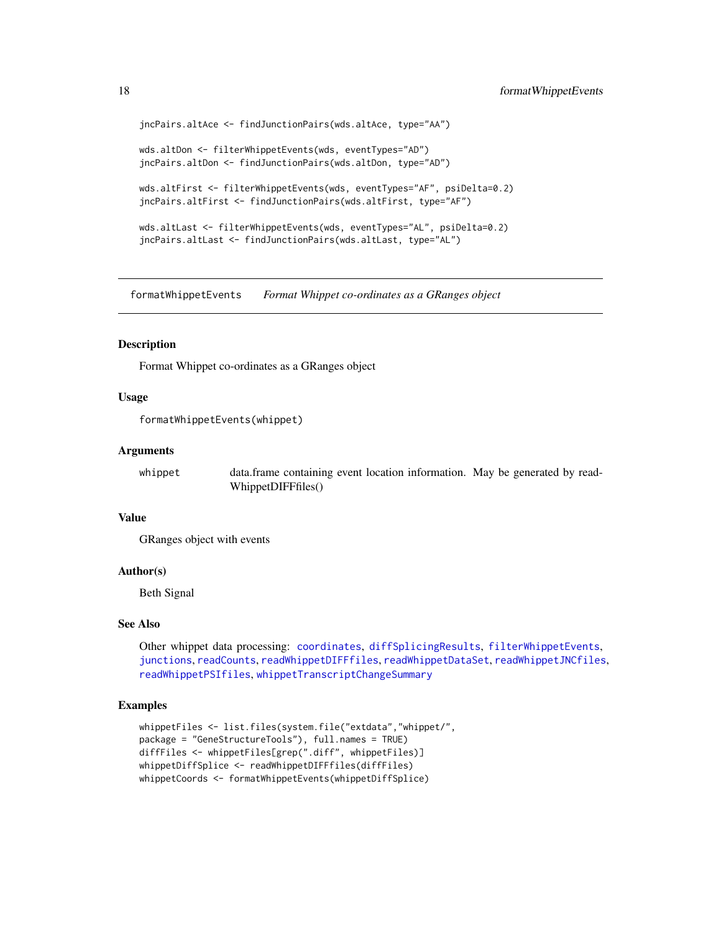```
jncPairs.altAce <- findJunctionPairs(wds.altAce, type="AA")
wds.altDon <- filterWhippetEvents(wds, eventTypes="AD")
jncPairs.altDon <- findJunctionPairs(wds.altDon, type="AD")
wds.altFirst <- filterWhippetEvents(wds, eventTypes="AF", psiDelta=0.2)
jncPairs.altFirst <- findJunctionPairs(wds.altFirst, type="AF")
wds.altLast <- filterWhippetEvents(wds, eventTypes="AL", psiDelta=0.2)
jncPairs.altLast <- findJunctionPairs(wds.altLast, type="AL")
```
<span id="page-17-1"></span>formatWhippetEvents *Format Whippet co-ordinates as a GRanges object*

#### Description

Format Whippet co-ordinates as a GRanges object

#### Usage

formatWhippetEvents(whippet)

#### Arguments

whippet data.frame containing event location information. May be generated by read-WhippetDIFFfiles()

# Value

GRanges object with events

#### Author(s)

Beth Signal

#### See Also

Other whippet data processing: [coordinates](#page-7-1), [diffSplicingResults](#page-9-2), [filterWhippetEvents](#page-11-1), [junctions](#page-20-1), [readCounts](#page-27-1), [readWhippetDIFFfiles](#page-28-1), [readWhippetDataSet](#page-27-2), [readWhippetJNCfiles](#page-29-1), [readWhippetPSIfiles](#page-30-1), [whippetTranscriptChangeSummary](#page-40-1)

```
whippetFiles <- list.files(system.file("extdata","whippet/",
package = "GeneStructureTools"), full.names = TRUE)
diffFiles <- whippetFiles[grep(".diff", whippetFiles)]
whippetDiffSplice <- readWhippetDIFFfiles(diffFiles)
whippetCoords <- formatWhippetEvents(whippetDiffSplice)
```
<span id="page-17-0"></span>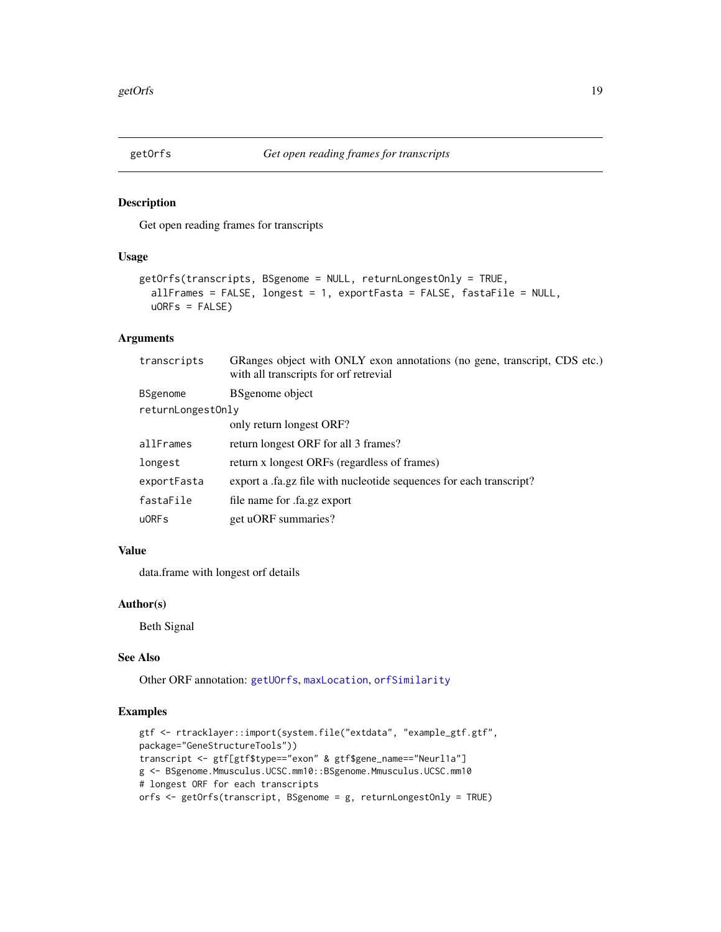<span id="page-18-1"></span><span id="page-18-0"></span>

# Description

Get open reading frames for transcripts

### Usage

```
getOrfs(transcripts, BSgenome = NULL, returnLongestOnly = TRUE,
  allFrames = FALSE, longest = 1, exportFasta = FALSE, fastaFile = NULL,
 uORFs = FALSE
```
# Arguments

| transcripts       | GRanges object with ONLY exon annotations (no gene, transcript, CDS etc.)<br>with all transcripts for orf retrevial |
|-------------------|---------------------------------------------------------------------------------------------------------------------|
| <b>BSgenome</b>   | <b>BS</b> genome object                                                                                             |
| returnLongestOnly |                                                                                                                     |
|                   | only return longest ORF?                                                                                            |
| allFrames         | return longest ORF for all 3 frames?                                                                                |
| longest           | return x longest ORFs (regardless of frames)                                                                        |
| exportFasta       | export a .fa.gz file with nucleotide sequences for each transcript?                                                 |
| fastaFile         | file name for .fa.gz export                                                                                         |
| $u$ ORFs          | get uORF summaries?                                                                                                 |

# Value

data.frame with longest orf details

# Author(s)

Beth Signal

#### See Also

Other ORF annotation: [getUOrfs](#page-19-1), [maxLocation](#page-22-2), [orfSimilarity](#page-25-1)

```
gtf <- rtracklayer::import(system.file("extdata", "example_gtf.gtf",
package="GeneStructureTools"))
transcript <- gtf[gtf$type=="exon" & gtf$gene_name=="Neurl1a"]
g <- BSgenome.Mmusculus.UCSC.mm10::BSgenome.Mmusculus.UCSC.mm10
# longest ORF for each transcripts
orfs <- getOrfs(transcript, BSgenome = g, returnLongestOnly = TRUE)
```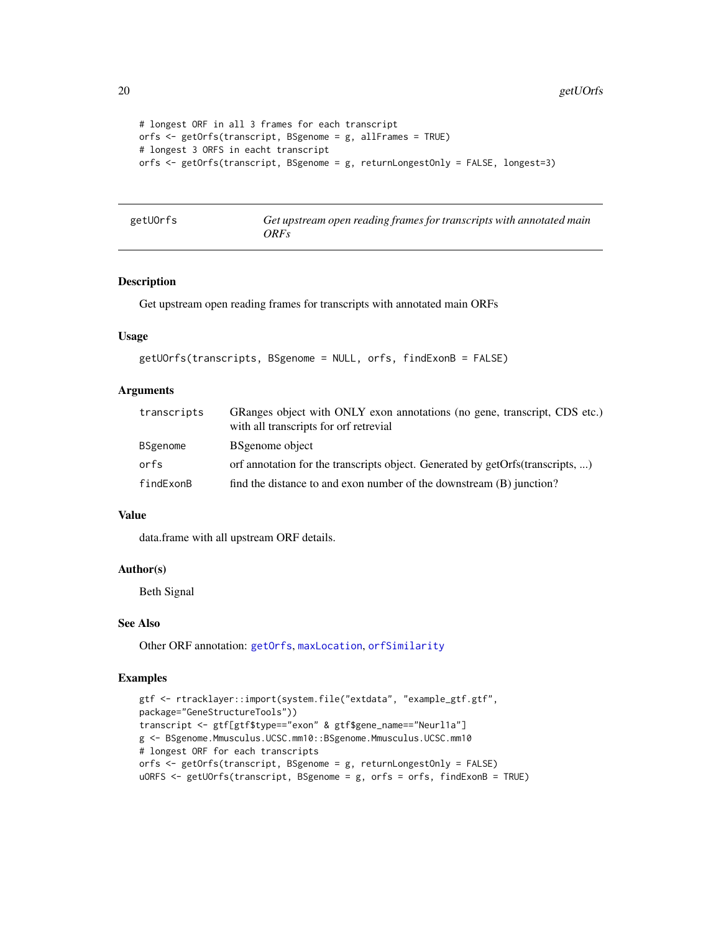```
# longest ORF in all 3 frames for each transcript
orfs <- getOrfs(transcript, BSgenome = g, allFrames = TRUE)
# longest 3 ORFS in eacht transcript
orfs <- getOrfs(transcript, BSgenome = g, returnLongestOnly = FALSE, longest=3)
```
<span id="page-19-1"></span>

| getUOrfs |  |
|----------|--|
|----------|--|

Get upstream open reading frames for transcripts with annotated main *ORFs*

#### Description

Get upstream open reading frames for transcripts with annotated main ORFs

# Usage

```
getUOrfs(transcripts, BSgenome = NULL, orfs, findExonB = FALSE)
```
#### **Arguments**

| transcripts | GRanges object with ONLY exon annotations (no gene, transcript, CDS etc.)<br>with all transcripts for orf retrevial |
|-------------|---------------------------------------------------------------------------------------------------------------------|
| BSgenome    | <b>BS</b> genome object                                                                                             |
| orfs        | orf annotation for the transcripts object. Generated by getOrfs(transcripts, )                                      |
| findExonB   | find the distance to and exon number of the downstream (B) junction?                                                |

#### Value

data.frame with all upstream ORF details.

# Author(s)

Beth Signal

#### See Also

Other ORF annotation: [getOrfs](#page-18-1), [maxLocation](#page-22-2), [orfSimilarity](#page-25-1)

```
gtf <- rtracklayer::import(system.file("extdata", "example_gtf.gtf",
package="GeneStructureTools"))
transcript <- gtf[gtf$type=="exon" & gtf$gene_name=="Neurl1a"]
g <- BSgenome.Mmusculus.UCSC.mm10::BSgenome.Mmusculus.UCSC.mm10
# longest ORF for each transcripts
orfs <- getOrfs(transcript, BSgenome = g, returnLongestOnly = FALSE)
uORFS <- getUOrfs(transcript, BSgenome = g, orfs = orfs, findExonB = TRUE)
```
<span id="page-19-0"></span>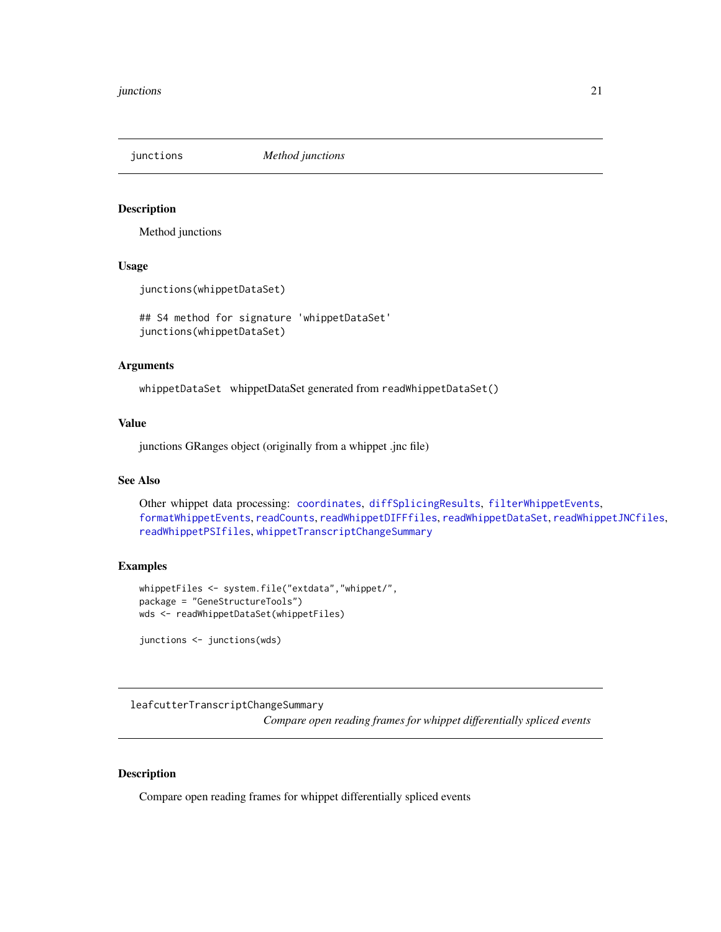<span id="page-20-1"></span><span id="page-20-0"></span>junctions *Method junctions*

# Description

Method junctions

#### Usage

junctions(whippetDataSet)

## S4 method for signature 'whippetDataSet' junctions(whippetDataSet)

#### Arguments

whippetDataSet whippetDataSet generated from readWhippetDataSet()

# Value

junctions GRanges object (originally from a whippet .jnc file)

# See Also

Other whippet data processing: [coordinates](#page-7-1), [diffSplicingResults](#page-9-2), [filterWhippetEvents](#page-11-1), [formatWhippetEvents](#page-17-1), [readCounts](#page-27-1), [readWhippetDIFFfiles](#page-28-1), [readWhippetDataSet](#page-27-2), [readWhippetJNCfiles](#page-29-1), [readWhippetPSIfiles](#page-30-1), [whippetTranscriptChangeSummary](#page-40-1)

#### Examples

```
whippetFiles <- system.file("extdata","whippet/",
package = "GeneStructureTools")
wds <- readWhippetDataSet(whippetFiles)
```
junctions <- junctions(wds)

leafcutterTranscriptChangeSummary

*Compare open reading frames for whippet differentially spliced events*

### Description

Compare open reading frames for whippet differentially spliced events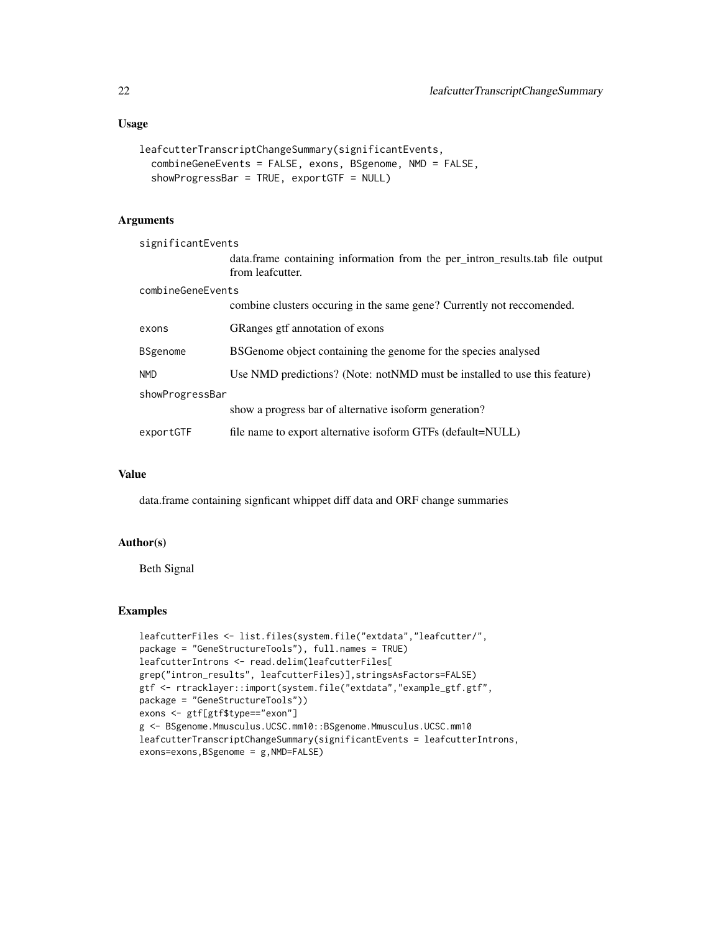# Usage

```
leafcutterTranscriptChangeSummary(significantEvents,
  combineGeneEvents = FALSE, exons, BSgenome, NMD = FALSE,
  showProgressBar = TRUE, exportGTF = NULL)
```
# Arguments

| significantEvents |                                                                                                     |  |
|-------------------|-----------------------------------------------------------------------------------------------------|--|
|                   | data. frame containing information from the per_intron_results. tab file output<br>from leafcutter. |  |
| combineGeneEvents |                                                                                                     |  |
|                   | combine clusters occuring in the same gene? Currently not reccomended.                              |  |
| exons             | GRanges gtf annotation of exons                                                                     |  |
| <b>BSgenome</b>   | BSGenome object containing the genome for the species analysed                                      |  |
| <b>NMD</b>        | Use NMD predictions? (Note: notNMD must be installed to use this feature)                           |  |
| showProgressBar   |                                                                                                     |  |
|                   | show a progress bar of alternative isoform generation?                                              |  |
| exportGTF         | file name to export alternative isoform GTFs (default=NULL)                                         |  |

#### Value

data.frame containing signficant whippet diff data and ORF change summaries

# Author(s)

Beth Signal

```
leafcutterFiles <- list.files(system.file("extdata","leafcutter/",
package = "GeneStructureTools"), full.names = TRUE)
leafcutterIntrons <- read.delim(leafcutterFiles[
grep("intron_results", leafcutterFiles)],stringsAsFactors=FALSE)
gtf <- rtracklayer::import(system.file("extdata","example_gtf.gtf",
package = "GeneStructureTools"))
exons <- gtf[gtf$type=="exon"]
g <- BSgenome.Mmusculus.UCSC.mm10::BSgenome.Mmusculus.UCSC.mm10
leafcutterTranscriptChangeSummary(significantEvents = leafcutterIntrons,
exons=exons,BSgenome = g,NMD=FALSE)
```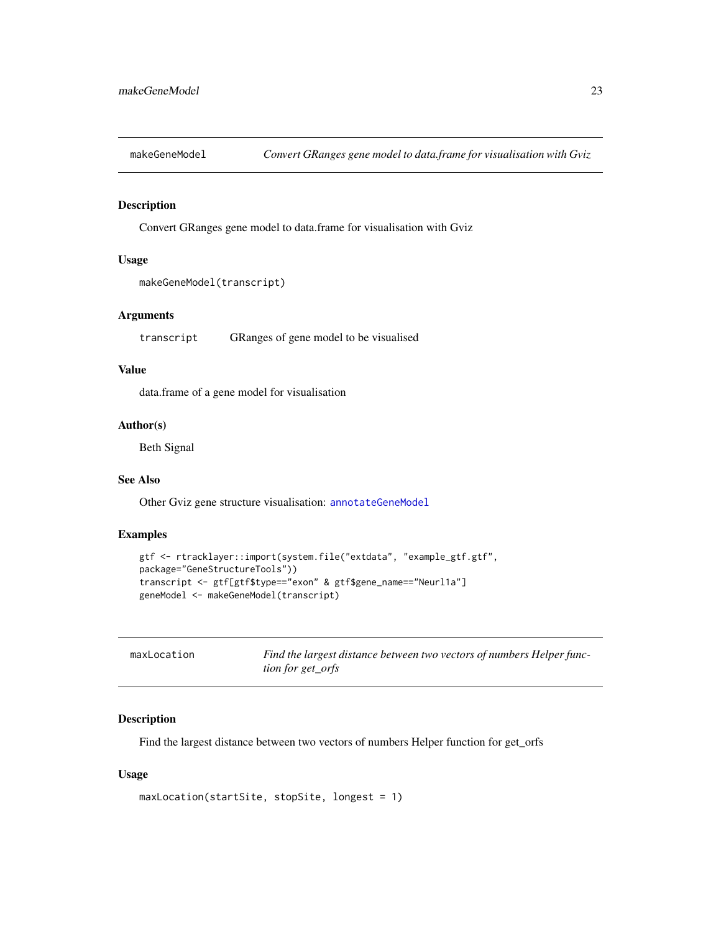<span id="page-22-1"></span><span id="page-22-0"></span>

#### Description

Convert GRanges gene model to data.frame for visualisation with Gviz

# Usage

```
makeGeneModel(transcript)
```
#### Arguments

transcript GRanges of gene model to be visualised

# Value

data.frame of a gene model for visualisation

#### Author(s)

Beth Signal

# See Also

Other Gviz gene structure visualisation: [annotateGeneModel](#page-5-1)

#### Examples

```
gtf <- rtracklayer::import(system.file("extdata", "example_gtf.gtf",
package="GeneStructureTools"))
transcript <- gtf[gtf$type=="exon" & gtf$gene_name=="Neurl1a"]
geneModel <- makeGeneModel(transcript)
```
<span id="page-22-2"></span>

| maxLocation | Find the largest distance between two vectors of numbers Helper func- |
|-------------|-----------------------------------------------------------------------|
|             | <i>tion for get orfs</i>                                              |

# Description

Find the largest distance between two vectors of numbers Helper function for get\_orfs

#### Usage

```
maxLocation(startSite, stopSite, longest = 1)
```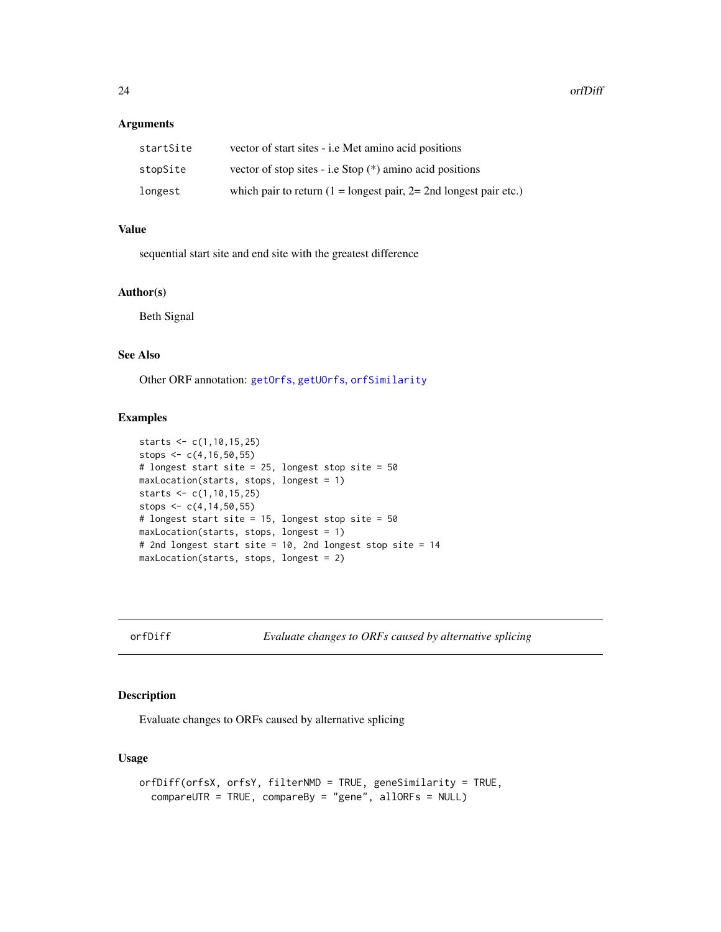#### <span id="page-23-0"></span>Arguments

| startSite | vector of start sites - i.e Met amino acid positions                                |
|-----------|-------------------------------------------------------------------------------------|
| stopSite  | vector of stop sites - i.e Stop $(*)$ amino acid positions                          |
| longest   | which pair to return $(1 = \text{longest pair}, 2 = 2 \text{nd longest pair etc.})$ |

# Value

sequential start site and end site with the greatest difference

# Author(s)

Beth Signal

# See Also

Other ORF annotation: [getOrfs](#page-18-1), [getUOrfs](#page-19-1), [orfSimilarity](#page-25-1)

# Examples

```
starts <- c(1,10,15,25)
stops <-c(4,16,50,55)# longest start site = 25, longest stop site = 50
maxLocation(starts, stops, longest = 1)
starts <- c(1,10,15,25)
stops \leq c(4, 14, 50, 55)# longest start site = 15, longest stop site = 50
maxLocation(starts, stops, longest = 1)
# 2nd longest start site = 10, 2nd longest stop site = 14
maxLocation(starts, stops, longest = 2)
```
<span id="page-23-1"></span>orfDiff *Evaluate changes to ORFs caused by alternative splicing*

#### Description

Evaluate changes to ORFs caused by alternative splicing

# Usage

```
orfDiff(orfsX, orfsY, filterNMD = TRUE, geneSimilarity = TRUE,
  compareUTR = TRUE, compareBy = "gene", allORFs = NULL)
```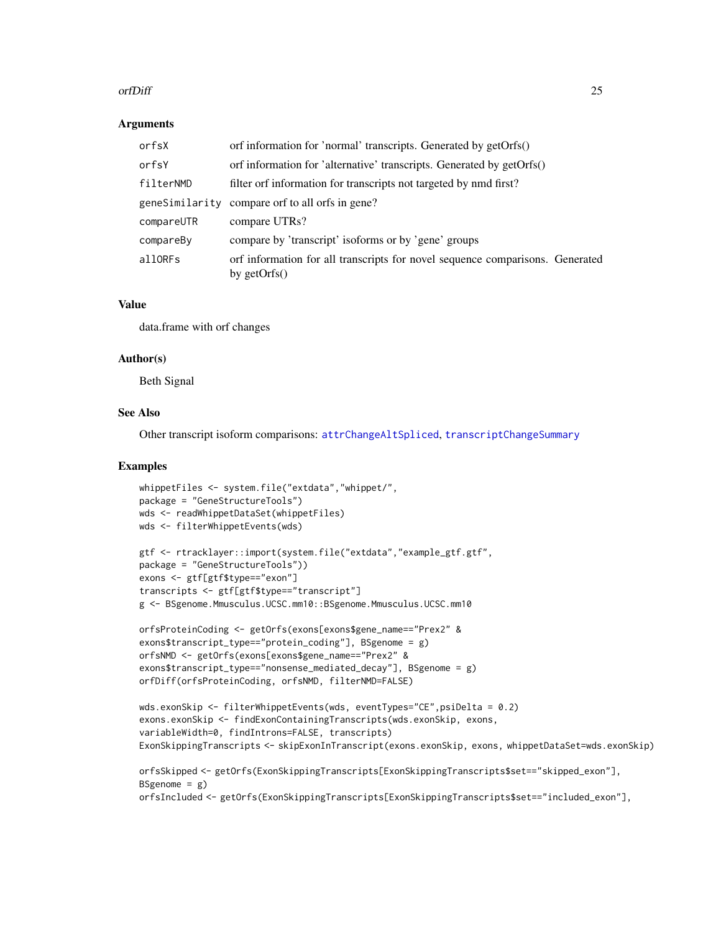#### <span id="page-24-0"></span>orfDiff 25

#### Arguments

| orfsX      | orf information for 'normal' transcripts. Generated by getOrfs()                                |
|------------|-------------------------------------------------------------------------------------------------|
| orfsY      | orf information for 'alternative' transcripts. Generated by getOrfs()                           |
| filterNMD  | filter orf information for transcripts not targeted by nmd first?                               |
|            | geneSimilarity compare orf to all orfs in gene?                                                 |
| compareUTR | compare UTRs?                                                                                   |
| compareBy  | compare by 'transcript' isoforms or by 'gene' groups                                            |
| allORFs    | orf information for all transcripts for novel sequence comparisons. Generated<br>by $getOrfs()$ |

# Value

data.frame with orf changes

#### Author(s)

Beth Signal

# See Also

Other transcript isoform comparisons: [attrChangeAltSpliced](#page-6-1), [transcriptChangeSummary](#page-37-1)

```
whippetFiles <- system.file("extdata","whippet/",
package = "GeneStructureTools")
wds <- readWhippetDataSet(whippetFiles)
wds <- filterWhippetEvents(wds)
```

```
gtf <- rtracklayer::import(system.file("extdata","example_gtf.gtf",
package = "GeneStructureTools"))
exons <- gtf[gtf$type=="exon"]
transcripts <- gtf[gtf$type=="transcript"]
g <- BSgenome.Mmusculus.UCSC.mm10::BSgenome.Mmusculus.UCSC.mm10
```

```
orfsProteinCoding <- getOrfs(exons[exons$gene_name=="Prex2" &
exons$transcript_type=="protein_coding"], BSgenome = g)
orfsNMD <- getOrfs(exons[exons$gene_name=="Prex2" &
exons$transcript_type=="nonsense_mediated_decay"], BSgenome = g)
orfDiff(orfsProteinCoding, orfsNMD, filterNMD=FALSE)
```

```
wds.exonSkip <- filterWhippetEvents(wds, eventTypes="CE",psiDelta = 0.2)
exons.exonSkip <- findExonContainingTranscripts(wds.exonSkip, exons,
variableWidth=0, findIntrons=FALSE, transcripts)
ExonSkippingTranscripts <- skipExonInTranscript(exons.exonSkip, exons, whippetDataSet=wds.exonSkip)
```

```
orfsSkipped <- getOrfs(ExonSkippingTranscripts[ExonSkippingTranscripts$set=="skipped_exon"],
BSgenome = g)
orfsIncluded <- getOrfs(ExonSkippingTranscripts[ExonSkippingTranscripts$set=="included_exon"],
```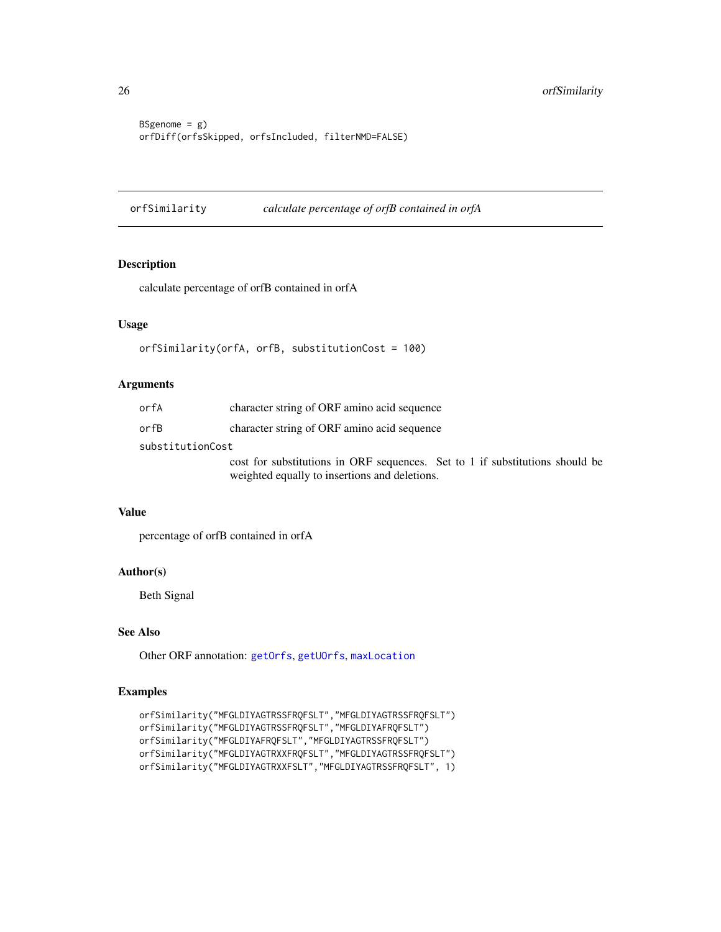```
BSgenome = g)
orfDiff(orfsSkipped, orfsIncluded, filterNMD=FALSE)
```
<span id="page-25-1"></span>orfSimilarity *calculate percentage of orfB contained in orfA*

# Description

calculate percentage of orfB contained in orfA

# Usage

```
orfSimilarity(orfA, orfB, substitutionCost = 100)
```
#### Arguments

| orfA             | character string of ORF amino acid sequence                                                                                   |
|------------------|-------------------------------------------------------------------------------------------------------------------------------|
| orfB             | character string of ORF amino acid sequence                                                                                   |
| substitutionCost |                                                                                                                               |
|                  | cost for substitutions in ORF sequences. Set to 1 if substitutions should be<br>weighted equally to insertions and deletions. |

# Value

percentage of orfB contained in orfA

# Author(s)

Beth Signal

# See Also

Other ORF annotation: [getOrfs](#page-18-1), [getUOrfs](#page-19-1), [maxLocation](#page-22-2)

```
orfSimilarity("MFGLDIYAGTRSSFRQFSLT","MFGLDIYAGTRSSFRQFSLT")
orfSimilarity("MFGLDIYAGTRSSFRQFSLT","MFGLDIYAFRQFSLT")
orfSimilarity("MFGLDIYAFRQFSLT","MFGLDIYAGTRSSFRQFSLT")
orfSimilarity("MFGLDIYAGTRXXFRQFSLT","MFGLDIYAGTRSSFRQFSLT")
orfSimilarity("MFGLDIYAGTRXXFSLT","MFGLDIYAGTRSSFRQFSLT", 1)
```
<span id="page-25-0"></span>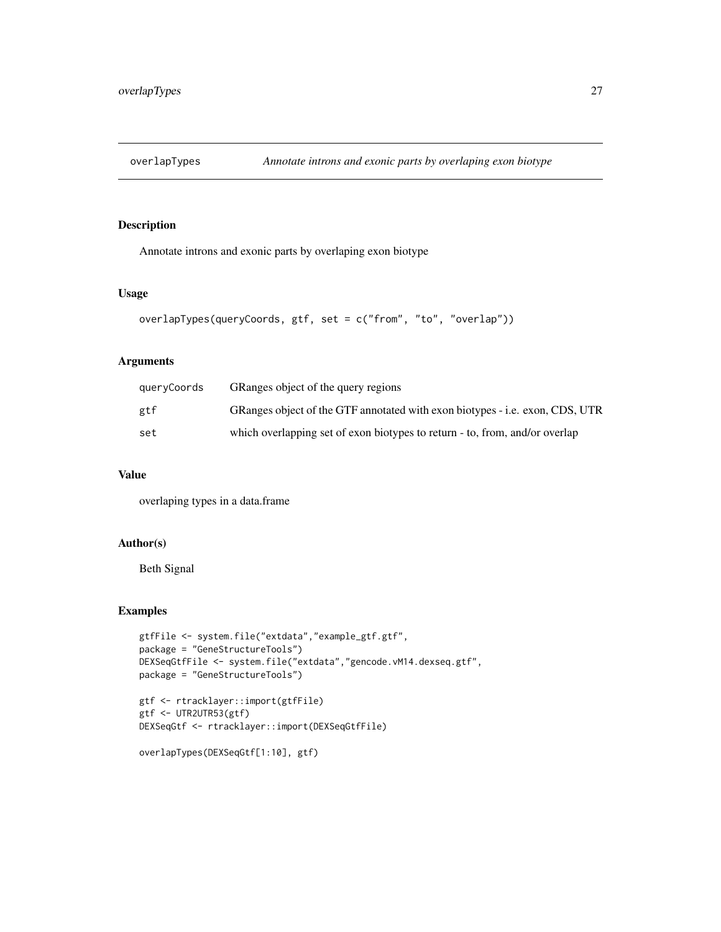<span id="page-26-0"></span>

# Description

Annotate introns and exonic parts by overlaping exon biotype

#### Usage

```
overlapTypes(queryCoords, gtf, set = c("from", "to", "overlap"))
```
# Arguments

| queryCoords | GRanges object of the query regions                                          |
|-------------|------------------------------------------------------------------------------|
| gtf         | GRanges object of the GTF annotated with exon biotypes - i.e. exon, CDS, UTR |
| set         | which overlapping set of exon biotypes to return - to, from, and/or overlap  |

#### Value

overlaping types in a data.frame

# Author(s)

Beth Signal

```
gtfFile <- system.file("extdata","example_gtf.gtf",
package = "GeneStructureTools")
DEXSeqGtfFile <- system.file("extdata","gencode.vM14.dexseq.gtf",
package = "GeneStructureTools")
```

```
gtf <- rtracklayer::import(gtfFile)
gtf <- UTR2UTR53(gtf)
DEXSeqGtf <- rtracklayer::import(DEXSeqGtfFile)
```

```
overlapTypes(DEXSeqGtf[1:10], gtf)
```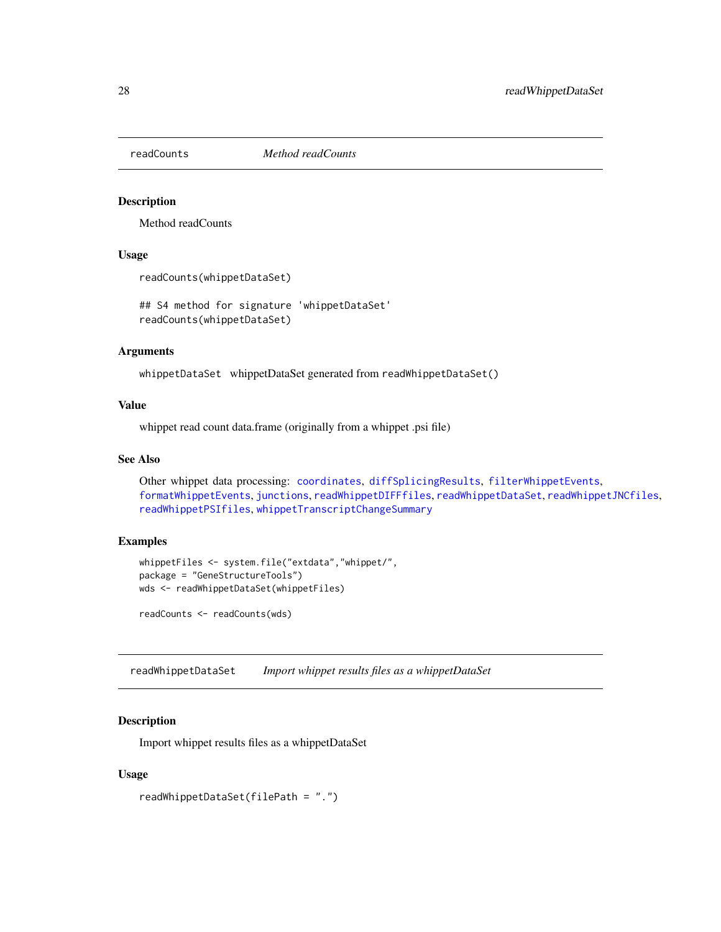<span id="page-27-1"></span><span id="page-27-0"></span>

# Description

Method readCounts

#### Usage

readCounts(whippetDataSet)

## S4 method for signature 'whippetDataSet' readCounts(whippetDataSet)

#### Arguments

whippetDataSet whippetDataSet generated from readWhippetDataSet()

# Value

whippet read count data.frame (originally from a whippet .psi file)

#### See Also

Other whippet data processing: [coordinates](#page-7-1), [diffSplicingResults](#page-9-2), [filterWhippetEvents](#page-11-1), [formatWhippetEvents](#page-17-1), [junctions](#page-20-1), [readWhippetDIFFfiles](#page-28-1), [readWhippetDataSet](#page-27-2), [readWhippetJNCfiles](#page-29-1), [readWhippetPSIfiles](#page-30-1), [whippetTranscriptChangeSummary](#page-40-1)

#### Examples

```
whippetFiles <- system.file("extdata","whippet/",
package = "GeneStructureTools")
wds <- readWhippetDataSet(whippetFiles)
```
readCounts <- readCounts(wds)

<span id="page-27-2"></span>readWhippetDataSet *Import whippet results files as a whippetDataSet*

#### Description

Import whippet results files as a whippetDataSet

#### Usage

```
readWhippetDataSet(filePath = ".")
```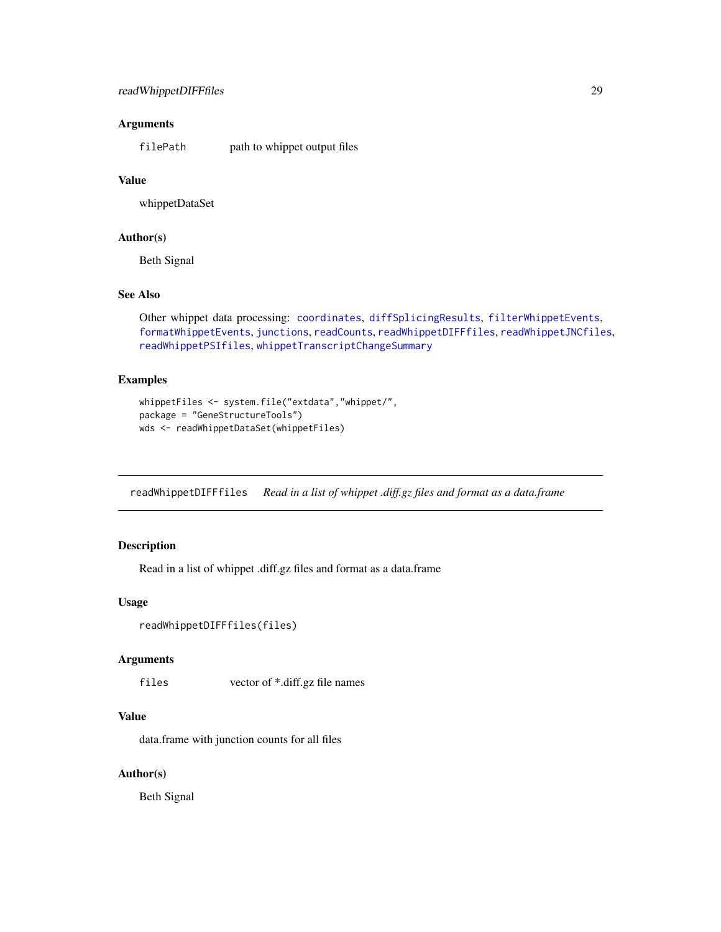# <span id="page-28-0"></span>readWhippetDIFFfiles 29

#### **Arguments**

filePath path to whippet output files

# Value

whippetDataSet

#### Author(s)

Beth Signal

#### See Also

```
Other whippet data processing: coordinates, diffSplicingResults, filterWhippetEvents,
formatWhippetEvents, junctions, readCounts, readWhippetDIFFfiles, readWhippetJNCfiles,
readWhippetPSIfiles, whippetTranscriptChangeSummary
```
#### Examples

```
whippetFiles <- system.file("extdata","whippet/",
package = "GeneStructureTools")
wds <- readWhippetDataSet(whippetFiles)
```
<span id="page-28-1"></span>readWhippetDIFFfiles *Read in a list of whippet .diff.gz files and format as a data.frame*

#### Description

Read in a list of whippet .diff.gz files and format as a data.frame

# Usage

```
readWhippetDIFFfiles(files)
```
# Arguments

files vector of \*.diff.gz file names

# Value

data.frame with junction counts for all files

#### Author(s)

Beth Signal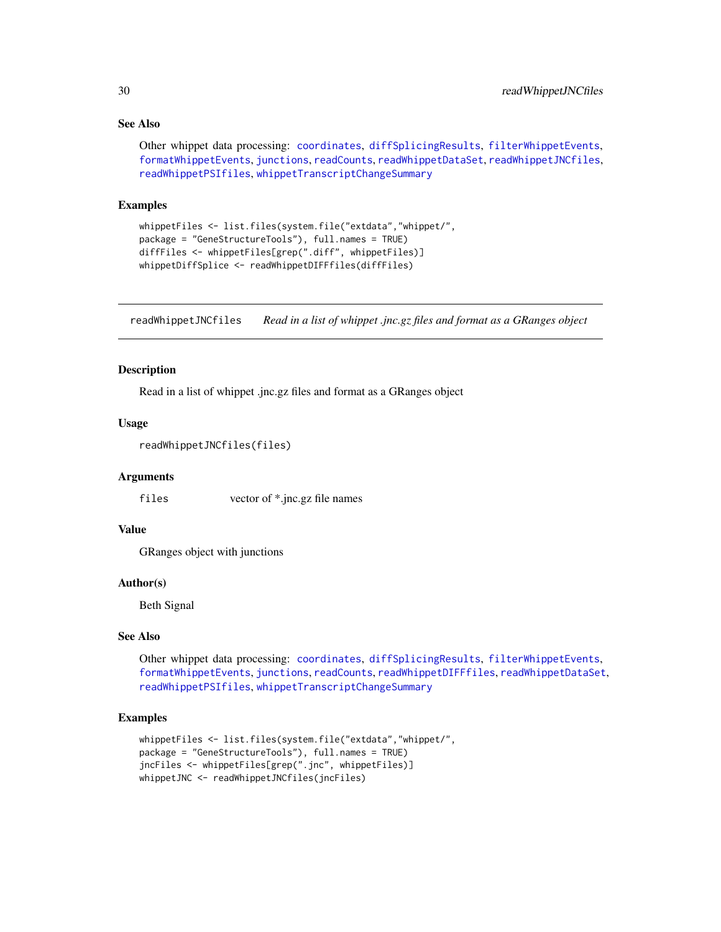# See Also

```
Other whippet data processing: coordinates, diffSplicingResults, filterWhippetEvents,
formatWhippetEvents, junctions, readCounts, readWhippetDataSet, readWhippetJNCfiles,
readWhippetPSIfiles, whippetTranscriptChangeSummary
```
#### Examples

```
whippetFiles <- list.files(system.file("extdata","whippet/",
package = "GeneStructureTools"), full.names = TRUE)
diffFiles <- whippetFiles[grep(".diff", whippetFiles)]
whippetDiffSplice <- readWhippetDIFFfiles(diffFiles)
```
<span id="page-29-1"></span>readWhippetJNCfiles *Read in a list of whippet .jnc.gz files and format as a GRanges object*

#### Description

Read in a list of whippet .jnc.gz files and format as a GRanges object

#### Usage

```
readWhippetJNCfiles(files)
```
#### Arguments

files vector of \*.jnc.gz file names

# Value

GRanges object with junctions

#### Author(s)

Beth Signal

#### See Also

Other whippet data processing: [coordinates](#page-7-1), [diffSplicingResults](#page-9-2), [filterWhippetEvents](#page-11-1), [formatWhippetEvents](#page-17-1), [junctions](#page-20-1), [readCounts](#page-27-1), [readWhippetDIFFfiles](#page-28-1), [readWhippetDataSet](#page-27-2), [readWhippetPSIfiles](#page-30-1), [whippetTranscriptChangeSummary](#page-40-1)

```
whippetFiles <- list.files(system.file("extdata","whippet/",
package = "GeneStructureTools"), full.names = TRUE)
jncFiles <- whippetFiles[grep(".jnc", whippetFiles)]
whippetJNC <- readWhippetJNCfiles(jncFiles)
```
<span id="page-29-0"></span>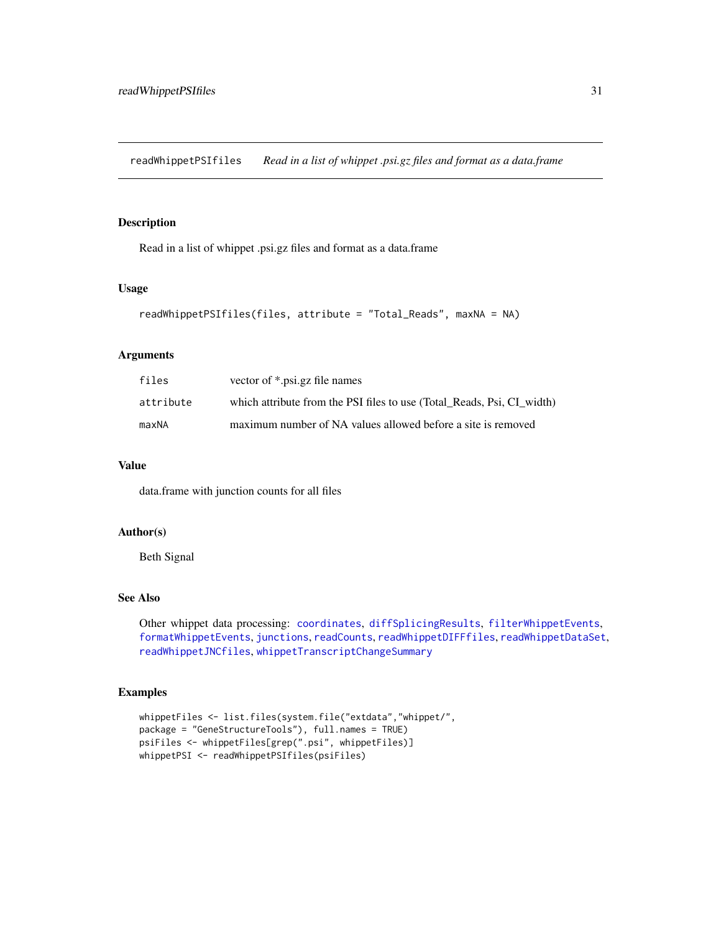<span id="page-30-1"></span><span id="page-30-0"></span>readWhippetPSIfiles *Read in a list of whippet .psi.gz files and format as a data.frame*

#### Description

Read in a list of whippet .psi.gz files and format as a data.frame

#### Usage

```
readWhippetPSIfiles(files, attribute = "Total_Reads", maxNA = NA)
```
#### Arguments

| files     | vector of *.psi.gz file names                                          |
|-----------|------------------------------------------------------------------------|
| attribute | which attribute from the PSI files to use (Total Reads, Psi, CI width) |
| maxNA     | maximum number of NA values allowed before a site is removed           |

# Value

data.frame with junction counts for all files

# Author(s)

Beth Signal

# See Also

Other whippet data processing: [coordinates](#page-7-1), [diffSplicingResults](#page-9-2), [filterWhippetEvents](#page-11-1), [formatWhippetEvents](#page-17-1), [junctions](#page-20-1), [readCounts](#page-27-1), [readWhippetDIFFfiles](#page-28-1), [readWhippetDataSet](#page-27-2), [readWhippetJNCfiles](#page-29-1), [whippetTranscriptChangeSummary](#page-40-1)

```
whippetFiles <- list.files(system.file("extdata","whippet/",
package = "GeneStructureTools"), full.names = TRUE)
psiFiles <- whippetFiles[grep(".psi", whippetFiles)]
whippetPSI <- readWhippetPSIfiles(psiFiles)
```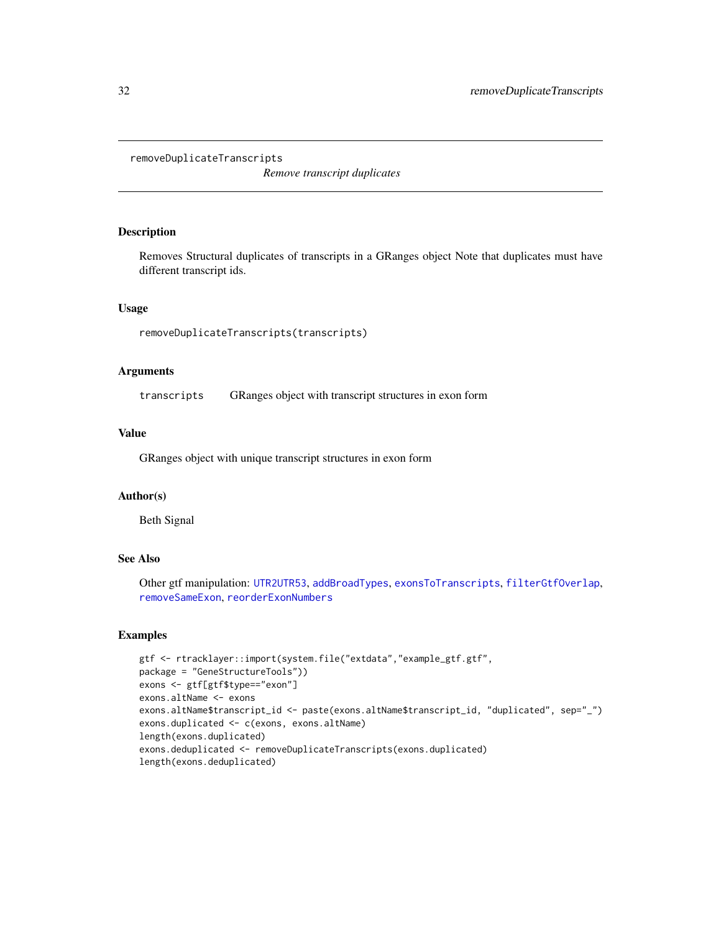#### <span id="page-31-1"></span><span id="page-31-0"></span>removeDuplicateTranscripts

*Remove transcript duplicates*

# Description

Removes Structural duplicates of transcripts in a GRanges object Note that duplicates must have different transcript ids.

#### Usage

removeDuplicateTranscripts(transcripts)

#### Arguments

transcripts GRanges object with transcript structures in exon form

# Value

GRanges object with unique transcript structures in exon form

#### Author(s)

Beth Signal

# See Also

Other gtf manipulation: [UTR2UTR53](#page-39-1), [addBroadTypes](#page-1-1), [exonsToTranscripts](#page-9-1), [filterGtfOverlap](#page-10-1), [removeSameExon](#page-32-1), [reorderExonNumbers](#page-33-1)

```
gtf <- rtracklayer::import(system.file("extdata","example_gtf.gtf",
package = "GeneStructureTools"))
exons <- gtf[gtf$type=="exon"]
exons.altName <- exons
exons.altName$transcript_id <- paste(exons.altName$transcript_id, "duplicated", sep="_")
exons.duplicated <- c(exons, exons.altName)
length(exons.duplicated)
exons.deduplicated <- removeDuplicateTranscripts(exons.duplicated)
length(exons.deduplicated)
```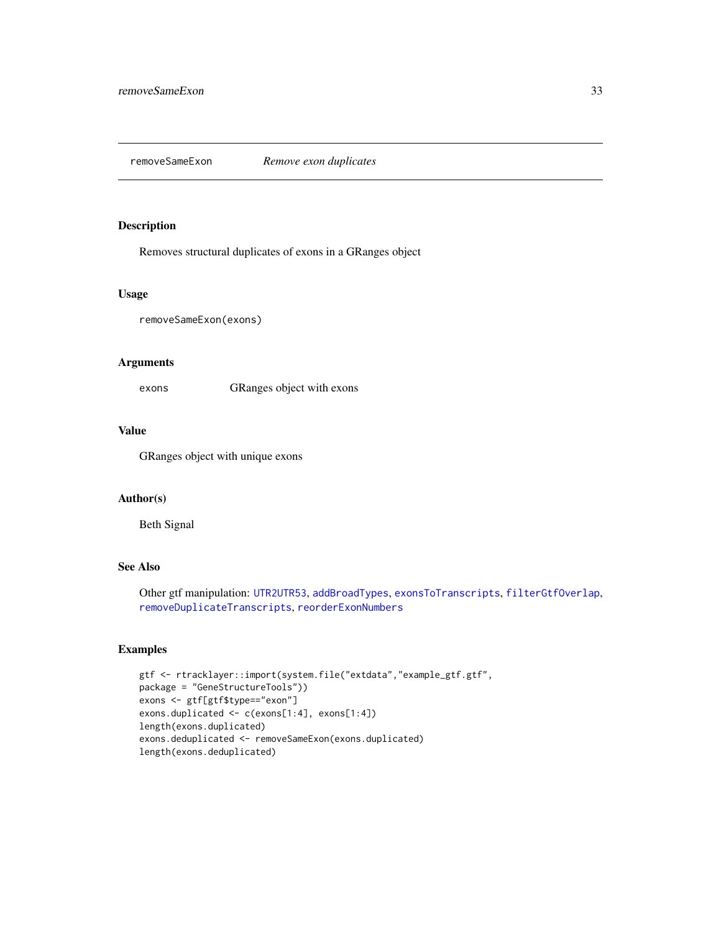<span id="page-32-1"></span><span id="page-32-0"></span>removeSameExon *Remove exon duplicates*

# Description

Removes structural duplicates of exons in a GRanges object

#### Usage

```
removeSameExon(exons)
```
# Arguments

exons GRanges object with exons

# Value

GRanges object with unique exons

# Author(s)

Beth Signal

# See Also

Other gtf manipulation: [UTR2UTR53](#page-39-1), [addBroadTypes](#page-1-1), [exonsToTranscripts](#page-9-1), [filterGtfOverlap](#page-10-1), [removeDuplicateTranscripts](#page-31-1), [reorderExonNumbers](#page-33-1)

```
gtf <- rtracklayer::import(system.file("extdata","example_gtf.gtf",
package = "GeneStructureTools"))
exons <- gtf[gtf$type=="exon"]
exons.duplicated <- c(exons[1:4], exons[1:4])
length(exons.duplicated)
exons.deduplicated <- removeSameExon(exons.duplicated)
length(exons.deduplicated)
```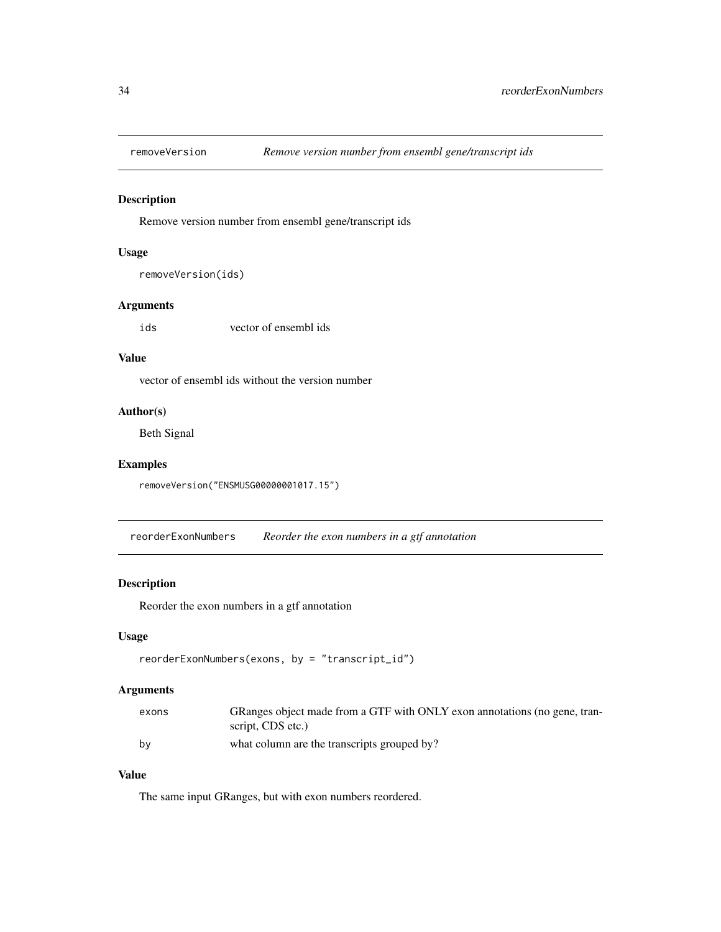<span id="page-33-0"></span>

#### Description

Remove version number from ensembl gene/transcript ids

# Usage

```
removeVersion(ids)
```
# Arguments

ids vector of ensembl ids

#### Value

vector of ensembl ids without the version number

# Author(s)

Beth Signal

# Examples

removeVersion("ENSMUSG00000001017.15")

<span id="page-33-1"></span>reorderExonNumbers *Reorder the exon numbers in a gtf annotation*

# Description

Reorder the exon numbers in a gtf annotation

#### Usage

```
reorderExonNumbers(exons, by = "transcript_id")
```
# Arguments

| exons | GRanges object made from a GTF with ONLY exon annotations (no gene, tran- |
|-------|---------------------------------------------------------------------------|
|       | script, CDS etc.)                                                         |
| by    | what column are the transcripts grouped by?                               |

# Value

The same input GRanges, but with exon numbers reordered.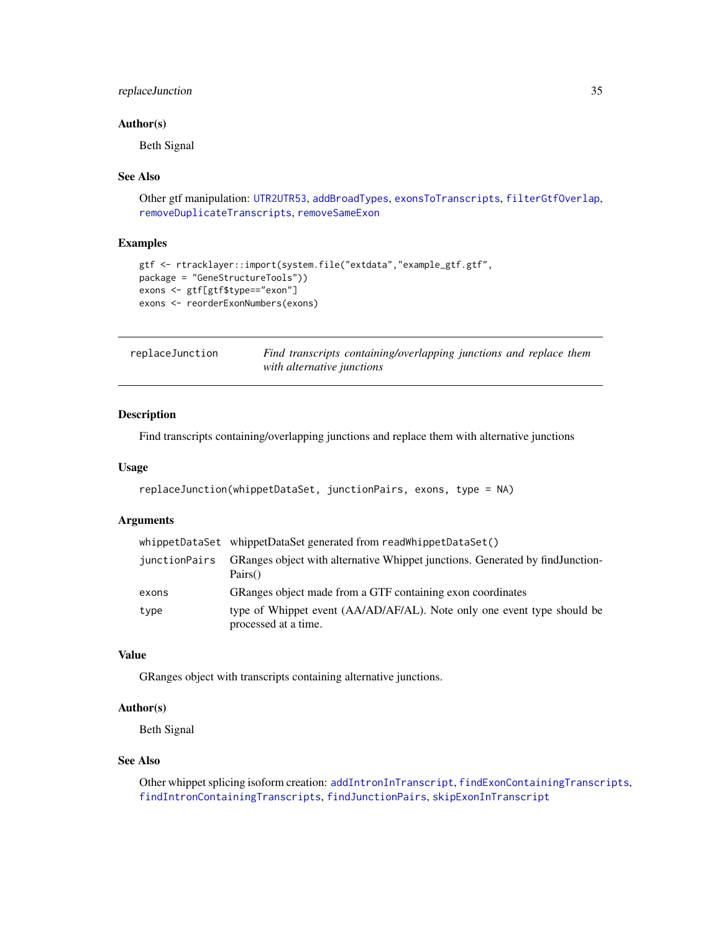# <span id="page-34-0"></span>replaceJunction 35

#### Author(s)

Beth Signal

#### See Also

```
Other gtf manipulation: UTR2UTR53, addBroadTypes, exonsToTranscripts, filterGtfOverlap,
removeDuplicateTranscripts, removeSameExon
```
#### Examples

```
gtf <- rtracklayer::import(system.file("extdata","example_gtf.gtf",
package = "GeneStructureTools"))
exons <- gtf[gtf$type=="exon"]
exons <- reorderExonNumbers(exons)
```
<span id="page-34-1"></span>

| replaceJunction |                            | Find transcripts containing/overlapping junctions and replace them |  |  |
|-----------------|----------------------------|--------------------------------------------------------------------|--|--|
|                 | with alternative junctions |                                                                    |  |  |

# Description

Find transcripts containing/overlapping junctions and replace them with alternative junctions

#### Usage

```
replaceJunction(whippetDataSet, junctionPairs, exons, type = NA)
```
#### Arguments

|               | whippetDataSet whippetDataSet generated from readWhippetDataSet()                               |
|---------------|-------------------------------------------------------------------------------------------------|
| iunctionPairs | GRanges object with alternative Whippet junctions. Generated by find Junction-<br>Pairs()       |
| exons         | GRanges object made from a GTF containing exon coordinates                                      |
| type          | type of Whippet event (AA/AD/AF/AL). Note only one event type should be<br>processed at a time. |

# Value

GRanges object with transcripts containing alternative junctions.

#### Author(s)

Beth Signal

#### See Also

Other whippet splicing isoform creation: [addIntronInTranscript](#page-2-1), [findExonContainingTranscripts](#page-13-1), [findIntronContainingTranscripts](#page-14-1), [findJunctionPairs](#page-16-1), [skipExonInTranscript](#page-35-1)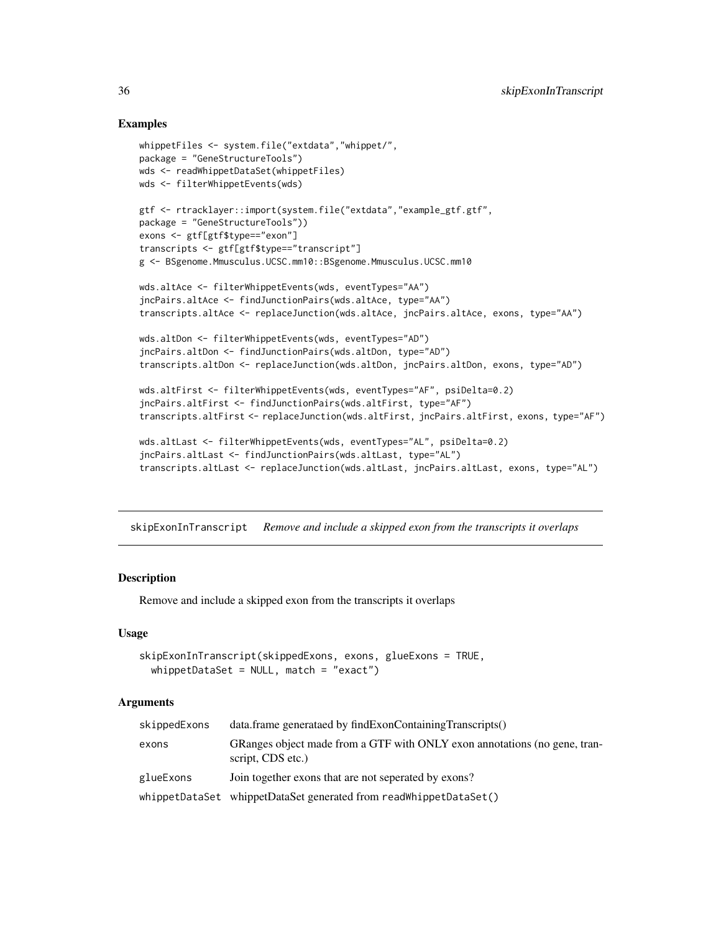# Examples

```
whippetFiles <- system.file("extdata","whippet/",
package = "GeneStructureTools")
wds <- readWhippetDataSet(whippetFiles)
wds <- filterWhippetEvents(wds)
gtf <- rtracklayer::import(system.file("extdata","example_gtf.gtf",
package = "GeneStructureTools"))
exons <- gtf[gtf$type=="exon"]
transcripts <- gtf[gtf$type=="transcript"]
g <- BSgenome.Mmusculus.UCSC.mm10::BSgenome.Mmusculus.UCSC.mm10
wds.altAce <- filterWhippetEvents(wds, eventTypes="AA")
jncPairs.altAce <- findJunctionPairs(wds.altAce, type="AA")
transcripts.altAce <- replaceJunction(wds.altAce, jncPairs.altAce, exons, type="AA")
wds.altDon <- filterWhippetEvents(wds, eventTypes="AD")
jncPairs.altDon <- findJunctionPairs(wds.altDon, type="AD")
transcripts.altDon <- replaceJunction(wds.altDon, jncPairs.altDon, exons, type="AD")
wds.altFirst <- filterWhippetEvents(wds, eventTypes="AF", psiDelta=0.2)
jncPairs.altFirst <- findJunctionPairs(wds.altFirst, type="AF")
transcripts.altFirst <- replaceJunction(wds.altFirst, jncPairs.altFirst, exons, type="AF")
wds.altLast <- filterWhippetEvents(wds, eventTypes="AL", psiDelta=0.2)
jncPairs.altLast <- findJunctionPairs(wds.altLast, type="AL")
```

```
transcripts.altLast <- replaceJunction(wds.altLast, jncPairs.altLast, exons, type="AL")
```
<span id="page-35-1"></span>skipExonInTranscript *Remove and include a skipped exon from the transcripts it overlaps*

#### Description

Remove and include a skipped exon from the transcripts it overlaps

#### Usage

```
skipExonInTranscript(skippedExons, exons, glueExons = TRUE,
  whippetDatabase = NULL, match = "exact")
```
#### Arguments

| skippedExons | data.frame generataed by findExonContainingTranscripts()                                       |
|--------------|------------------------------------------------------------------------------------------------|
| exons        | GRanges object made from a GTF with ONLY exon annotations (no gene, tran-<br>script, CDS etc.) |
| glueExons    | Join together exons that are not seperated by exons?                                           |
|              | whippetDataSet whippetDataSet generated from readWhippetDataSet()                              |

<span id="page-35-0"></span>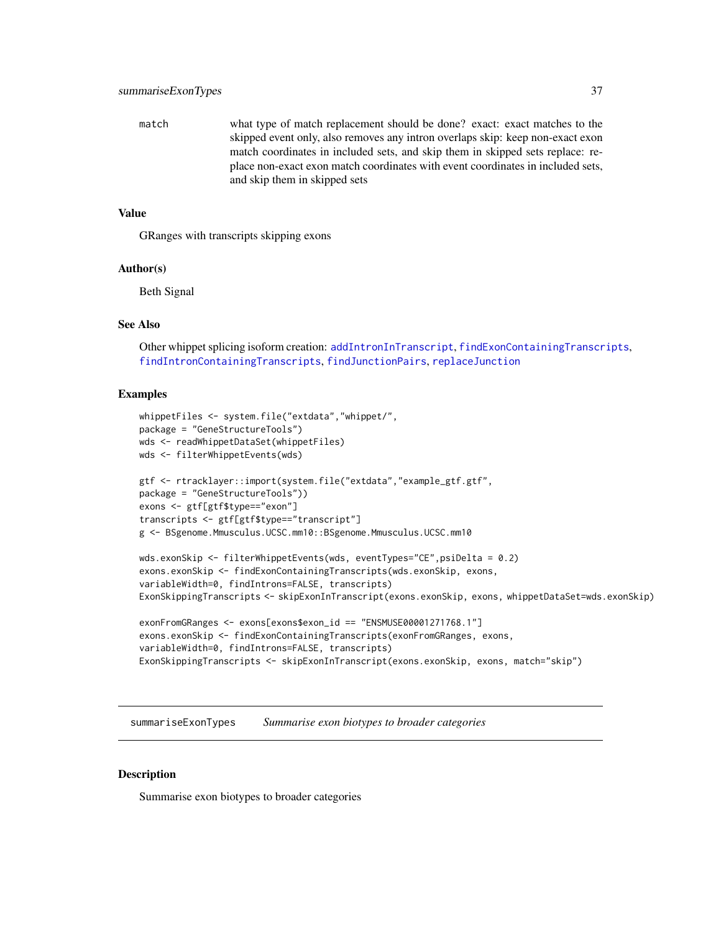<span id="page-36-0"></span>match what type of match replacement should be done? exact: exact matches to the skipped event only, also removes any intron overlaps skip: keep non-exact exon match coordinates in included sets, and skip them in skipped sets replace: replace non-exact exon match coordinates with event coordinates in included sets, and skip them in skipped sets

# Value

GRanges with transcripts skipping exons

#### Author(s)

Beth Signal

#### See Also

Other whippet splicing isoform creation: [addIntronInTranscript](#page-2-1), [findExonContainingTranscripts](#page-13-1), [findIntronContainingTranscripts](#page-14-1), [findJunctionPairs](#page-16-1), [replaceJunction](#page-34-1)

### Examples

```
whippetFiles <- system.file("extdata","whippet/",
package = "GeneStructureTools")
wds <- readWhippetDataSet(whippetFiles)
wds <- filterWhippetEvents(wds)
gtf <- rtracklayer::import(system.file("extdata","example_gtf.gtf",
package = "GeneStructureTools"))
exons <- gtf[gtf$type=="exon"]
transcripts <- gtf[gtf$type=="transcript"]
g <- BSgenome.Mmusculus.UCSC.mm10::BSgenome.Mmusculus.UCSC.mm10
wds.exonSkip <- filterWhippetEvents(wds, eventTypes="CE",psiDelta = 0.2)
exons.exonSkip <- findExonContainingTranscripts(wds.exonSkip, exons,
variableWidth=0, findIntrons=FALSE, transcripts)
ExonSkippingTranscripts <- skipExonInTranscript(exons.exonSkip, exons, whippetDataSet=wds.exonSkip)
exonFromGRanges <- exons[exons$exon_id == "ENSMUSE00001271768.1"]
```

```
exons.exonSkip <- findExonContainingTranscripts(exonFromGRanges, exons,
variableWidth=0, findIntrons=FALSE, transcripts)
ExonSkippingTranscripts <- skipExonInTranscript(exons.exonSkip, exons, match="skip")
```
<span id="page-36-1"></span>summariseExonTypes *Summarise exon biotypes to broader categories*

#### Description

Summarise exon biotypes to broader categories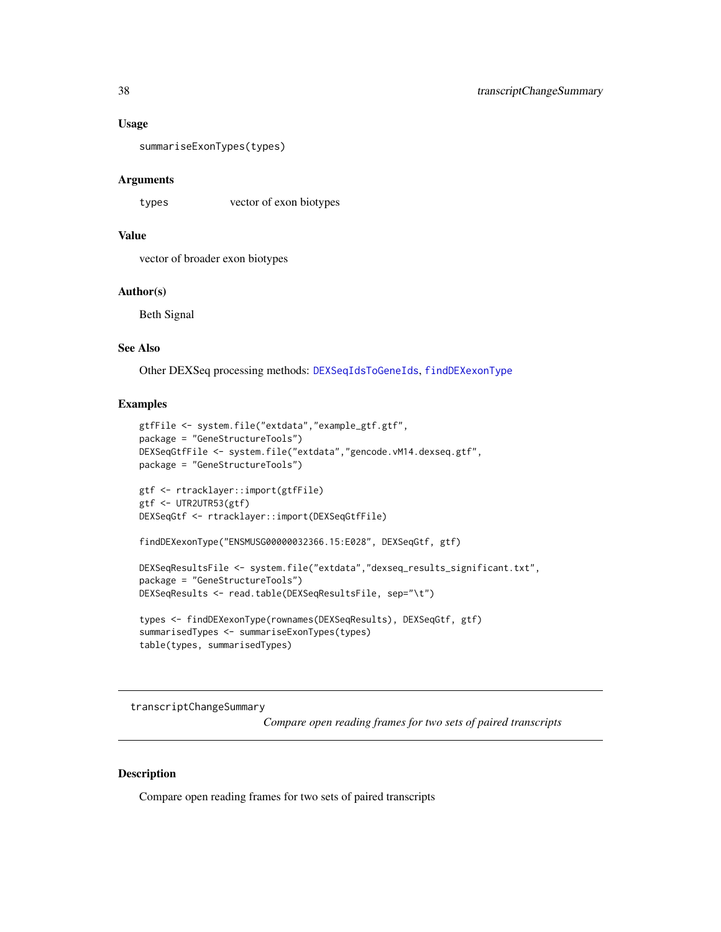#### <span id="page-37-0"></span>Usage

```
summariseExonTypes(types)
```
#### Arguments

types vector of exon biotypes

# Value

vector of broader exon biotypes

#### Author(s)

Beth Signal

#### See Also

Other DEXSeq processing methods: [DEXSeqIdsToGeneIds](#page-8-1), [findDEXexonType](#page-12-1)

#### Examples

```
gtfFile <- system.file("extdata","example_gtf.gtf",
package = "GeneStructureTools")
DEXSeqGtfFile <- system.file("extdata","gencode.vM14.dexseq.gtf",
package = "GeneStructureTools")
gtf <- rtracklayer::import(gtfFile)
gtf <- UTR2UTR53(gtf)
DEXSeqGtf <- rtracklayer::import(DEXSeqGtfFile)
findDEXexonType("ENSMUSG00000032366.15:E028", DEXSeqGtf, gtf)
DEXSeqResultsFile <- system.file("extdata","dexseq_results_significant.txt",
package = "GeneStructureTools")
DEXSeqResults <- read.table(DEXSeqResultsFile, sep="\t")
```

```
types <- findDEXexonType(rownames(DEXSeqResults), DEXSeqGtf, gtf)
summarisedTypes <- summariseExonTypes(types)
table(types, summarisedTypes)
```
<span id="page-37-1"></span>transcriptChangeSummary

*Compare open reading frames for two sets of paired transcripts*

#### Description

Compare open reading frames for two sets of paired transcripts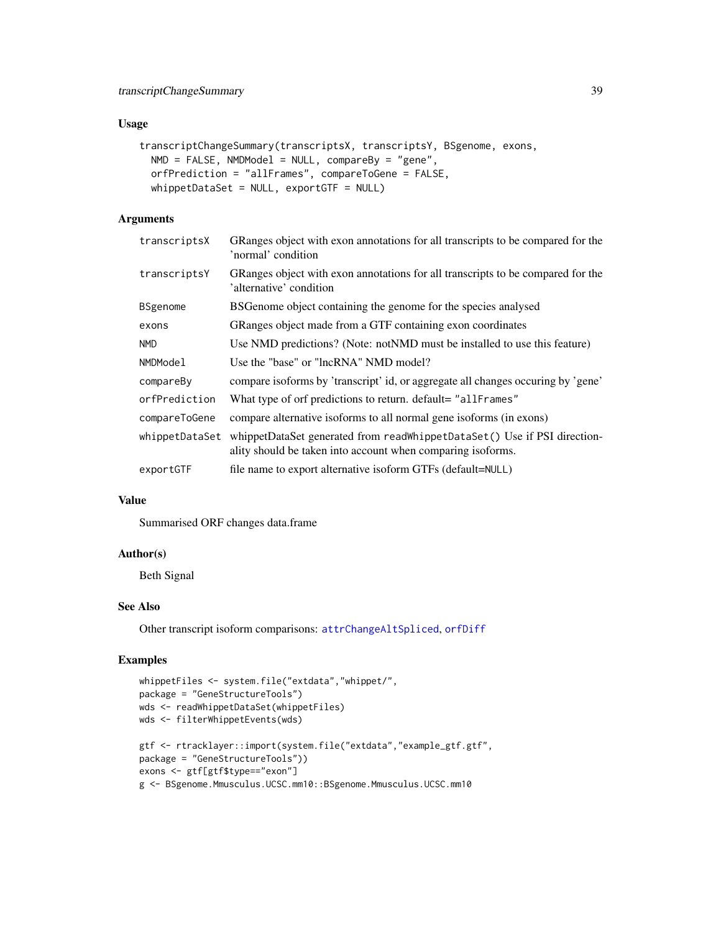# <span id="page-38-0"></span>Usage

```
transcriptChangeSummary(transcriptsX, transcriptsY, BSgenome, exons,
 NMD = FALSE, NMDModel = NULL, compareBy = "gene",
 orfPrediction = "allFrames", compareToGene = FALSE,
 whippetDataSet = NULL, exportGTF = NULL)
```
# Arguments

| transcriptsX   | GRanges object with exon annotations for all transcripts to be compared for the<br>'normal' condition                                   |
|----------------|-----------------------------------------------------------------------------------------------------------------------------------------|
| transcriptsY   | GRanges object with exon annotations for all transcripts to be compared for the<br>'alternative' condition                              |
| BSgenome       | BSGenome object containing the genome for the species analysed                                                                          |
| exons          | GRanges object made from a GTF containing exon coordinates                                                                              |
| <b>NMD</b>     | Use NMD predictions? (Note: notNMD must be installed to use this feature)                                                               |
| NMDModel       | Use the "base" or "lncRNA" NMD model?                                                                                                   |
| compareBy      | compare isoforms by 'transcript' id, or aggregate all changes occuring by 'gene'                                                        |
| orfPrediction  | What type of orf predictions to return. default= "allFrames"                                                                            |
| compareToGene  | compare alternative isoforms to all normal gene isoforms (in exons)                                                                     |
| whippetDataSet | whippetDataSet generated from readWhippetDataSet() Use if PSI direction-<br>ality should be taken into account when comparing isoforms. |
| exportGTF      | file name to export alternative isoform GTFs (default=NULL)                                                                             |

#### Value

Summarised ORF changes data.frame

# Author(s)

Beth Signal

# See Also

Other transcript isoform comparisons: [attrChangeAltSpliced](#page-6-1), [orfDiff](#page-23-1)

```
whippetFiles <- system.file("extdata","whippet/",
package = "GeneStructureTools")
wds <- readWhippetDataSet(whippetFiles)
wds <- filterWhippetEvents(wds)
gtf <- rtracklayer::import(system.file("extdata","example_gtf.gtf",
package = "GeneStructureTools"))
exons <- gtf[gtf$type=="exon"]
g <- BSgenome.Mmusculus.UCSC.mm10::BSgenome.Mmusculus.UCSC.mm10
```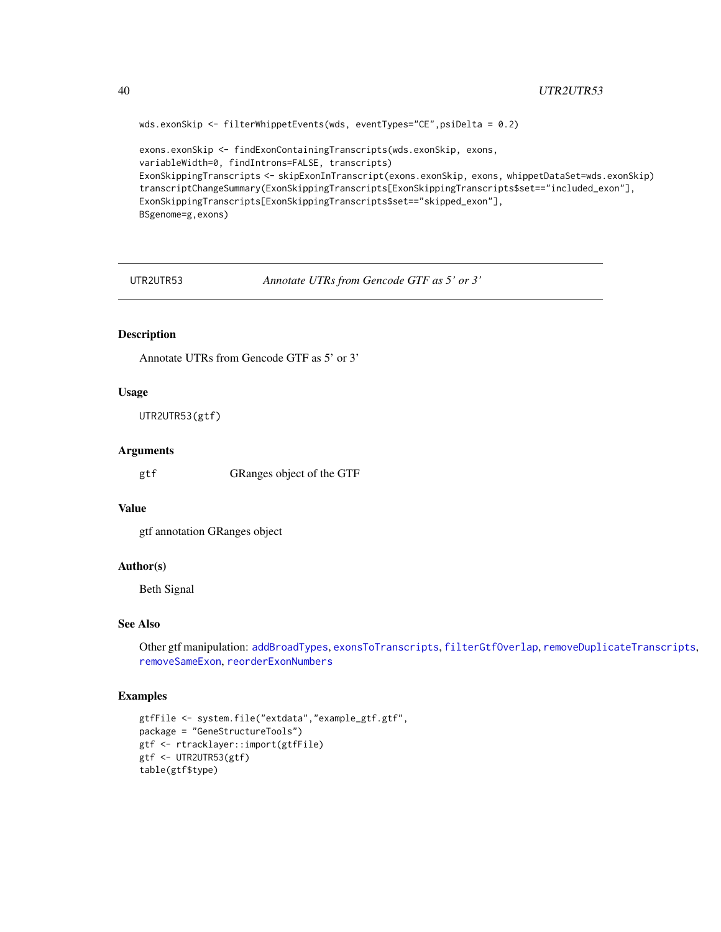```
wds.exonSkip <- filterWhippetEvents(wds, eventTypes="CE",psiDelta = 0.2)
exons.exonSkip <- findExonContainingTranscripts(wds.exonSkip, exons,
variableWidth=0, findIntrons=FALSE, transcripts)
ExonSkippingTranscripts <- skipExonInTranscript(exons.exonSkip, exons, whippetDataSet=wds.exonSkip)
transcriptChangeSummary(ExonSkippingTranscripts[ExonSkippingTranscripts$set=="included_exon"],
ExonSkippingTranscripts[ExonSkippingTranscripts$set=="skipped_exon"],
BSgenome=g,exons)
```
<span id="page-39-1"></span>UTR2UTR53 *Annotate UTRs from Gencode GTF as 5' or 3'*

#### Description

Annotate UTRs from Gencode GTF as 5' or 3'

#### Usage

UTR2UTR53(gtf)

#### Arguments

gtf GRanges object of the GTF

#### Value

gtf annotation GRanges object

#### Author(s)

Beth Signal

#### See Also

Other gtf manipulation: [addBroadTypes](#page-1-1), [exonsToTranscripts](#page-9-1), [filterGtfOverlap](#page-10-1), [removeDuplicateTranscripts](#page-31-1), [removeSameExon](#page-32-1), [reorderExonNumbers](#page-33-1)

```
gtfFile <- system.file("extdata","example_gtf.gtf",
package = "GeneStructureTools")
gtf <- rtracklayer::import(gtfFile)
gtf <- UTR2UTR53(gtf)
table(gtf$type)
```
<span id="page-39-0"></span>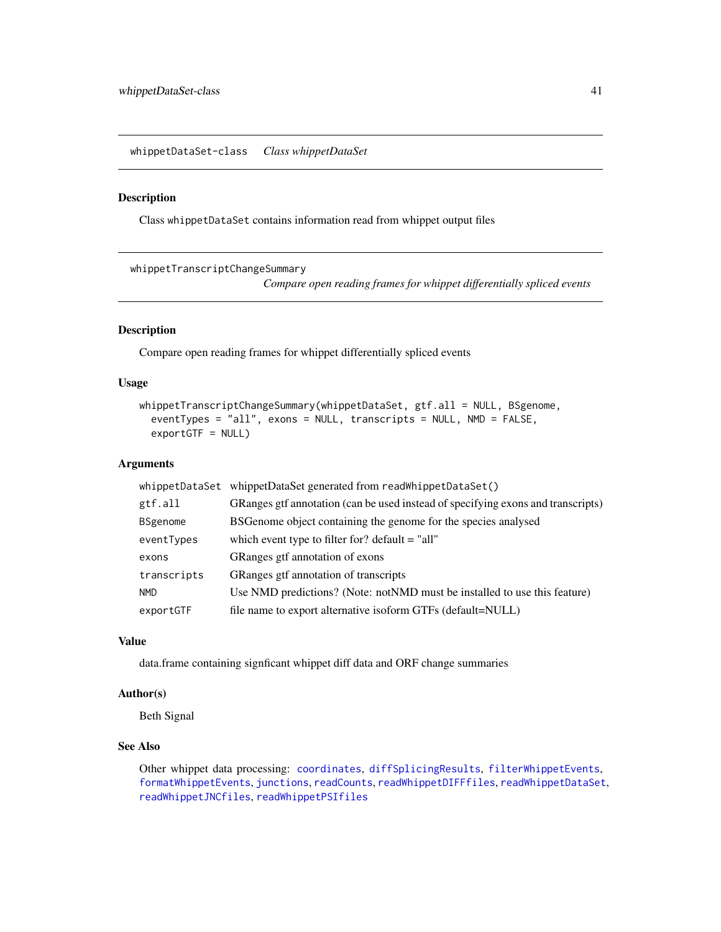<span id="page-40-0"></span>whippetDataSet-class *Class whippetDataSet*

#### Description

Class whippetDataSet contains information read from whippet output files

<span id="page-40-1"></span>whippetTranscriptChangeSummary

*Compare open reading frames for whippet differentially spliced events*

# Description

Compare open reading frames for whippet differentially spliced events

# Usage

```
whippetTranscriptChangeSummary(whippetDataSet, gtf.all = NULL, BSgenome,
  eventTypes = "all", exons = NULL, transcripts = NULL, NMD = FALSE,
  exportGTF = NULL)
```
#### Arguments

| whippetDataSet  | whippetDataSet generated from readWhippetDataSet()                               |
|-----------------|----------------------------------------------------------------------------------|
| gtf.all         | GRanges gtf annotation (can be used instead of specifying exons and transcripts) |
| <b>BSgenome</b> | BSGenome object containing the genome for the species analysed                   |
| eventTypes      | which event type to filter for? default $=$ "all"                                |
| exons           | GRanges gtf annotation of exons                                                  |
| transcripts     | GRanges gtf annotation of transcripts                                            |
| NMD.            | Use NMD predictions? (Note: notNMD must be installed to use this feature)        |
| exportGTF       | file name to export alternative isoform GTFs (default=NULL)                      |

# Value

data.frame containing signficant whippet diff data and ORF change summaries

# Author(s)

Beth Signal

# See Also

Other whippet data processing: [coordinates](#page-7-1), [diffSplicingResults](#page-9-2), [filterWhippetEvents](#page-11-1), [formatWhippetEvents](#page-17-1), [junctions](#page-20-1), [readCounts](#page-27-1), [readWhippetDIFFfiles](#page-28-1), [readWhippetDataSet](#page-27-2), [readWhippetJNCfiles](#page-29-1), [readWhippetPSIfiles](#page-30-1)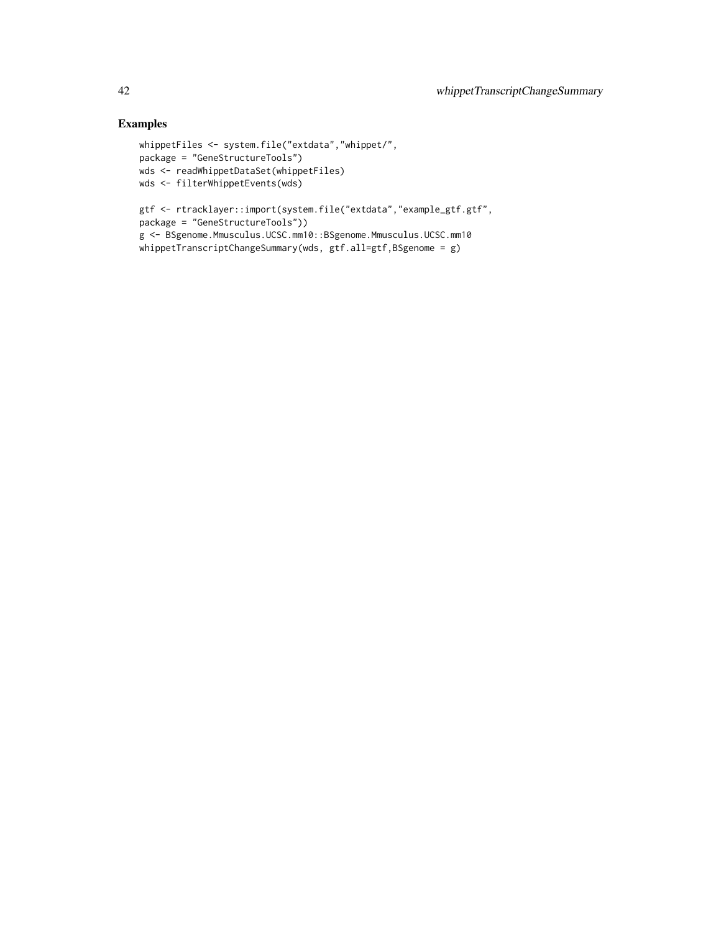```
whippetFiles <- system.file("extdata","whippet/",
package = "GeneStructureTools")
wds <- readWhippetDataSet(whippetFiles)
wds <- filterWhippetEvents(wds)
gtf <- rtracklayer::import(system.file("extdata","example_gtf.gtf",
package = "GeneStructureTools"))
g <- BSgenome.Mmusculus.UCSC.mm10::BSgenome.Mmusculus.UCSC.mm10
whippetTranscriptChangeSummary(wds, gtf.all=gtf,BSgenome = g)
```